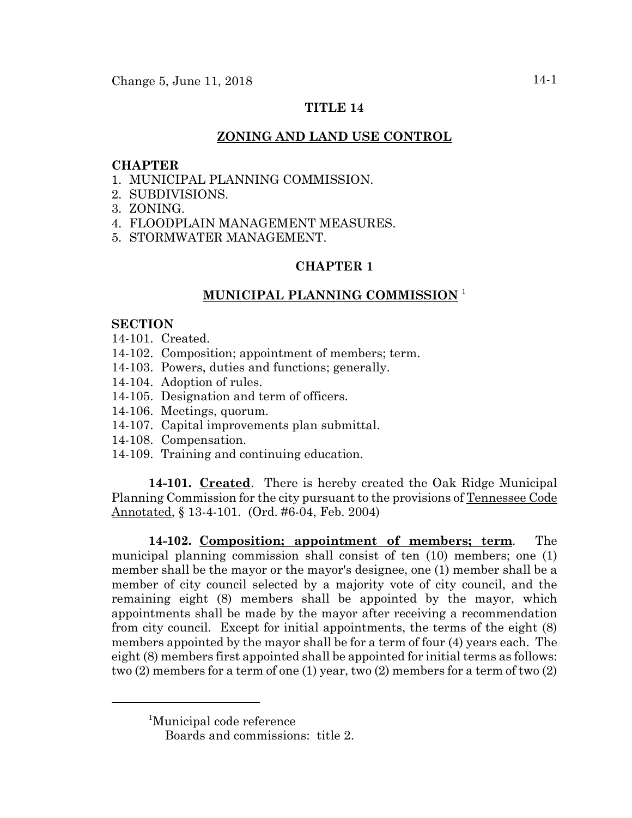# **TITLE 14**

# **ZONING AND LAND USE CONTROL**

### **CHAPTER**

- 1. MUNICIPAL PLANNING COMMISSION.
- 2. SUBDIVISIONS.
- 3. ZONING.
- 4. FLOODPLAIN MANAGEMENT MEASURES.
- 5. STORMWATER MANAGEMENT.

# **CHAPTER 1**

# **MUNICIPAL PLANNING COMMISSION** <sup>1</sup>

### **SECTION**

- 14-101. Created.
- 14-102. Composition; appointment of members; term.
- 14-103. Powers, duties and functions; generally.
- 14-104. Adoption of rules.
- 14-105. Designation and term of officers.
- 14-106. Meetings, quorum.
- 14-107. Capital improvements plan submittal.
- 14-108. Compensation.
- 14-109. Training and continuing education.

**14-101. Created**. There is hereby created the Oak Ridge Municipal Planning Commission for the city pursuant to the provisions of Tennessee Code Annotated, § 13-4-101. (Ord. #6-04, Feb. 2004)

**14-102. Composition; appointment of members; term**. The municipal planning commission shall consist of ten (10) members; one (1) member shall be the mayor or the mayor's designee, one (1) member shall be a member of city council selected by a majority vote of city council, and the remaining eight (8) members shall be appointed by the mayor, which appointments shall be made by the mayor after receiving a recommendation from city council. Except for initial appointments, the terms of the eight (8) members appointed by the mayor shall be for a term of four (4) years each. The eight (8) members first appointed shall be appointed for initial terms as follows: two (2) members for a term of one (1) year, two (2) members for a term of two (2)

<sup>1</sup> Municipal code reference

Boards and commissions: title 2.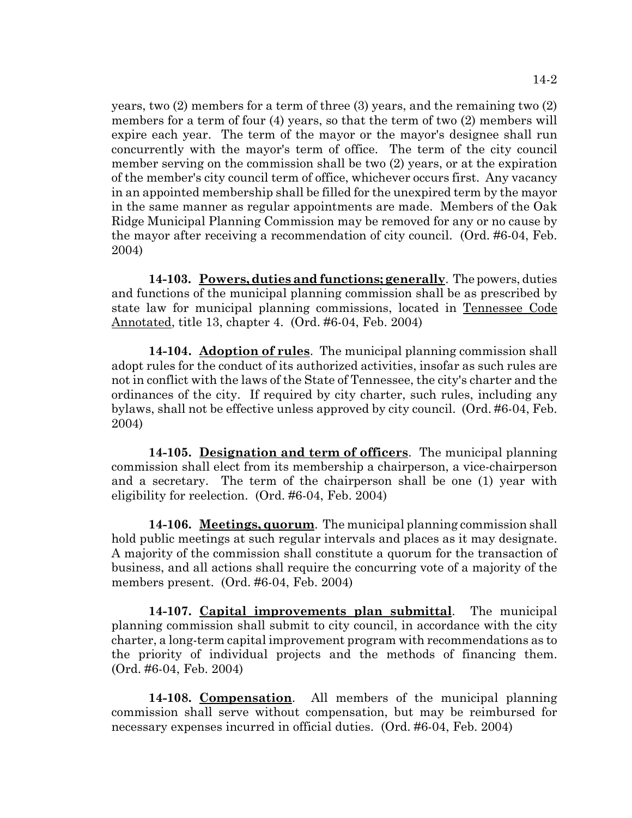years, two (2) members for a term of three (3) years, and the remaining two (2) members for a term of four (4) years, so that the term of two (2) members will expire each year. The term of the mayor or the mayor's designee shall run concurrently with the mayor's term of office. The term of the city council member serving on the commission shall be two (2) years, or at the expiration of the member's city council term of office, whichever occurs first. Any vacancy in an appointed membership shall be filled for the unexpired term by the mayor in the same manner as regular appointments are made. Members of the Oak Ridge Municipal Planning Commission may be removed for any or no cause by the mayor after receiving a recommendation of city council. (Ord. #6-04, Feb. 2004)

**14-103. Powers, duties and functions; generally**. The powers, duties and functions of the municipal planning commission shall be as prescribed by state law for municipal planning commissions, located in Tennessee Code Annotated, title 13, chapter 4. (Ord. #6-04, Feb. 2004)

**14-104. Adoption of rules**. The municipal planning commission shall adopt rules for the conduct of its authorized activities, insofar as such rules are not in conflict with the laws of the State of Tennessee, the city's charter and the ordinances of the city. If required by city charter, such rules, including any bylaws, shall not be effective unless approved by city council. (Ord. #6-04, Feb. 2004)

**14-105. Designation and term of officers**. The municipal planning commission shall elect from its membership a chairperson, a vice-chairperson and a secretary. The term of the chairperson shall be one (1) year with eligibility for reelection. (Ord. #6-04, Feb. 2004)

**14-106. Meetings, quorum**. The municipal planning commission shall hold public meetings at such regular intervals and places as it may designate. A majority of the commission shall constitute a quorum for the transaction of business, and all actions shall require the concurring vote of a majority of the members present. (Ord. #6-04, Feb. 2004)

**14-107. Capital improvements plan submittal**. The municipal planning commission shall submit to city council, in accordance with the city charter, a long-term capital improvement program with recommendations as to the priority of individual projects and the methods of financing them. (Ord. #6-04, Feb. 2004)

**14-108. Compensation**. All members of the municipal planning commission shall serve without compensation, but may be reimbursed for necessary expenses incurred in official duties. (Ord. #6-04, Feb. 2004)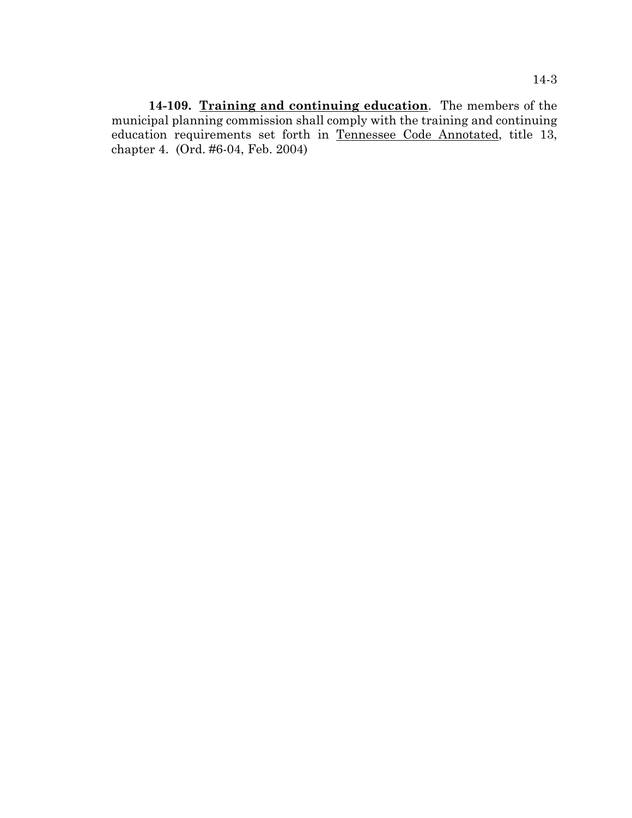**14-109. Training and continuing education**. The members of the municipal planning commission shall comply with the training and continuing education requirements set forth in Tennessee Code Annotated, title 13, chapter 4. (Ord. #6-04, Feb. 2004)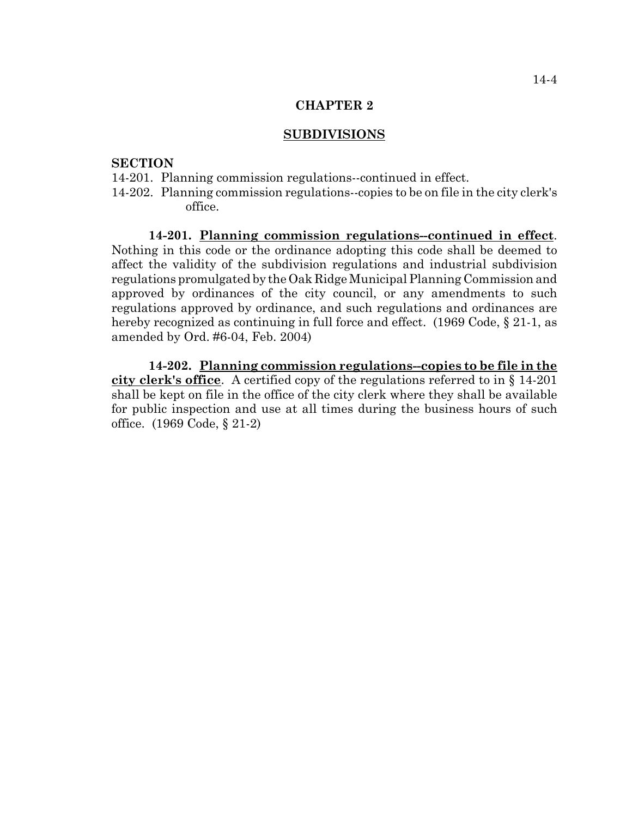#### **SUBDIVISIONS**

#### **SECTION**

- 14-201. Planning commission regulations--continued in effect.
- 14-202. Planning commission regulations--copies to be on file in the city clerk's office.

**14-201. Planning commission regulations--continued in effect**. Nothing in this code or the ordinance adopting this code shall be deemed to affect the validity of the subdivision regulations and industrial subdivision regulations promulgated by the Oak Ridge Municipal Planning Commission and approved by ordinances of the city council, or any amendments to such regulations approved by ordinance, and such regulations and ordinances are hereby recognized as continuing in full force and effect. (1969 Code, § 21-1, as amended by Ord. #6-04, Feb. 2004)

**14-202. Planning commission regulations--copies to be file in the city clerk's office**. A certified copy of the regulations referred to in § 14-201 shall be kept on file in the office of the city clerk where they shall be available for public inspection and use at all times during the business hours of such office. (1969 Code, § 21-2)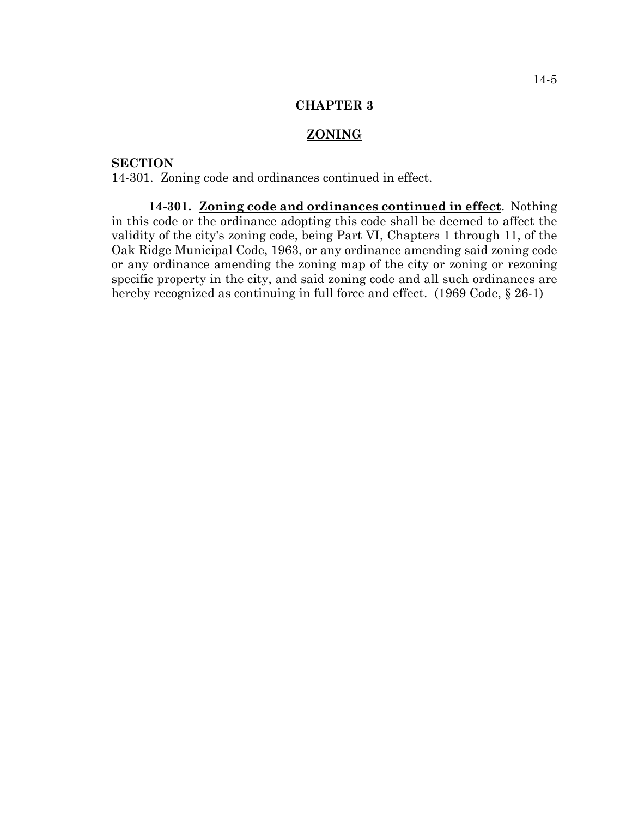# **ZONING**

# **SECTION**

14-301. Zoning code and ordinances continued in effect.

**14-301. Zoning code and ordinances continued in effect**. Nothing in this code or the ordinance adopting this code shall be deemed to affect the validity of the city's zoning code, being Part VI, Chapters 1 through 11, of the Oak Ridge Municipal Code, 1963, or any ordinance amending said zoning code or any ordinance amending the zoning map of the city or zoning or rezoning specific property in the city, and said zoning code and all such ordinances are hereby recognized as continuing in full force and effect. (1969 Code, § 26-1)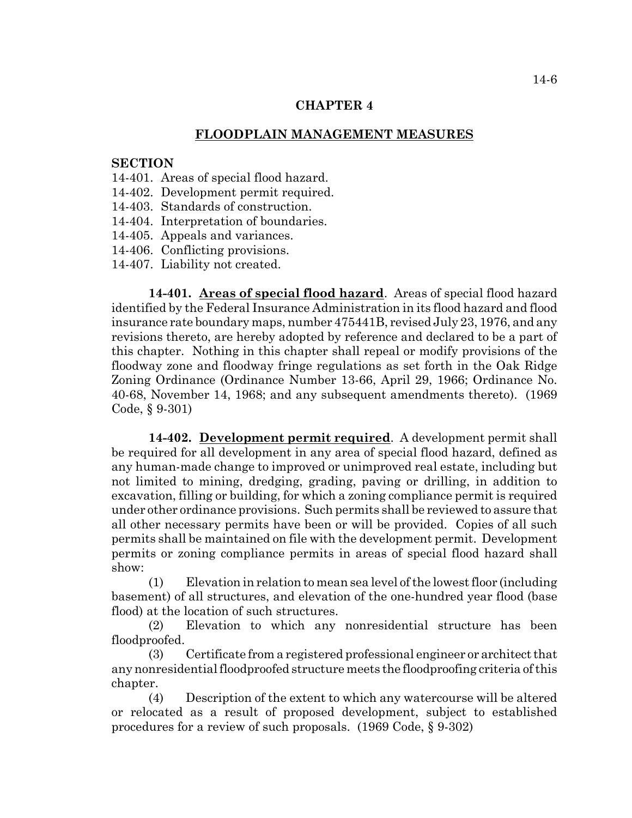### **FLOODPLAIN MANAGEMENT MEASURES**

### **SECTION**

- 14-401. Areas of special flood hazard.
- 14-402. Development permit required.
- 14-403. Standards of construction.
- 14-404. Interpretation of boundaries.
- 14-405. Appeals and variances.
- 14-406. Conflicting provisions.
- 14-407. Liability not created.

**14-401. Areas of special flood hazard**. Areas of special flood hazard identified by the Federal Insurance Administration in its flood hazard and flood insurance rate boundary maps, number 475441B, revised July 23, 1976, and any revisions thereto, are hereby adopted by reference and declared to be a part of this chapter. Nothing in this chapter shall repeal or modify provisions of the floodway zone and floodway fringe regulations as set forth in the Oak Ridge Zoning Ordinance (Ordinance Number 13-66, April 29, 1966; Ordinance No. 40-68, November 14, 1968; and any subsequent amendments thereto). (1969 Code, § 9-301)

**14-402. Development permit required**. A development permit shall be required for all development in any area of special flood hazard, defined as any human-made change to improved or unimproved real estate, including but not limited to mining, dredging, grading, paving or drilling, in addition to excavation, filling or building, for which a zoning compliance permit is required under other ordinance provisions. Such permits shall be reviewed to assure that all other necessary permits have been or will be provided. Copies of all such permits shall be maintained on file with the development permit. Development permits or zoning compliance permits in areas of special flood hazard shall show:

(1) Elevation in relation to mean sea level of the lowest floor (including basement) of all structures, and elevation of the one-hundred year flood (base flood) at the location of such structures.

(2) Elevation to which any nonresidential structure has been floodproofed.

(3) Certificate from a registered professional engineer or architect that any nonresidential floodproofed structure meets the floodproofing criteria of this chapter.

(4) Description of the extent to which any watercourse will be altered or relocated as a result of proposed development, subject to established procedures for a review of such proposals. (1969 Code, § 9-302)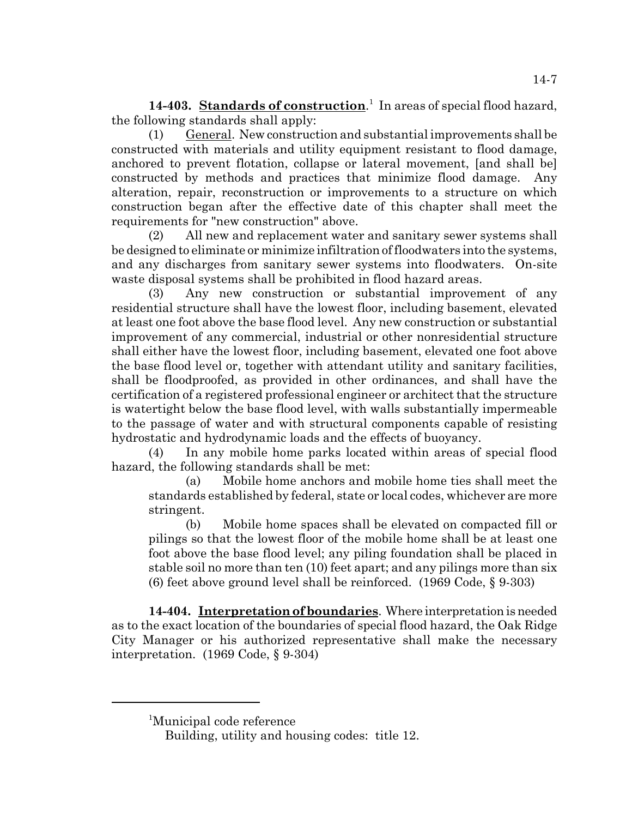14-403. **Standards of construction**.<sup>1</sup> In areas of special flood hazard, the following standards shall apply:

(1) General. New construction and substantial improvements shall be constructed with materials and utility equipment resistant to flood damage, anchored to prevent flotation, collapse or lateral movement, [and shall be] constructed by methods and practices that minimize flood damage. Any alteration, repair, reconstruction or improvements to a structure on which construction began after the effective date of this chapter shall meet the requirements for "new construction" above.

(2) All new and replacement water and sanitary sewer systems shall be designed to eliminate or minimize infiltration of floodwaters into the systems, and any discharges from sanitary sewer systems into floodwaters. On-site waste disposal systems shall be prohibited in flood hazard areas.

(3) Any new construction or substantial improvement of any residential structure shall have the lowest floor, including basement, elevated at least one foot above the base flood level. Any new construction or substantial improvement of any commercial, industrial or other nonresidential structure shall either have the lowest floor, including basement, elevated one foot above the base flood level or, together with attendant utility and sanitary facilities, shall be floodproofed, as provided in other ordinances, and shall have the certification of a registered professional engineer or architect that the structure is watertight below the base flood level, with walls substantially impermeable to the passage of water and with structural components capable of resisting hydrostatic and hydrodynamic loads and the effects of buoyancy.

(4) In any mobile home parks located within areas of special flood hazard, the following standards shall be met:

(a) Mobile home anchors and mobile home ties shall meet the standards established by federal, state or local codes, whichever are more stringent.

(b) Mobile home spaces shall be elevated on compacted fill or pilings so that the lowest floor of the mobile home shall be at least one foot above the base flood level; any piling foundation shall be placed in stable soil no more than ten (10) feet apart; and any pilings more than six (6) feet above ground level shall be reinforced. (1969 Code, § 9-303)

**14-404. Interpretation of boundaries**. Where interpretation is needed as to the exact location of the boundaries of special flood hazard, the Oak Ridge City Manager or his authorized representative shall make the necessary interpretation. (1969 Code, § 9-304)

<sup>1</sup> Municipal code reference

Building, utility and housing codes: title 12.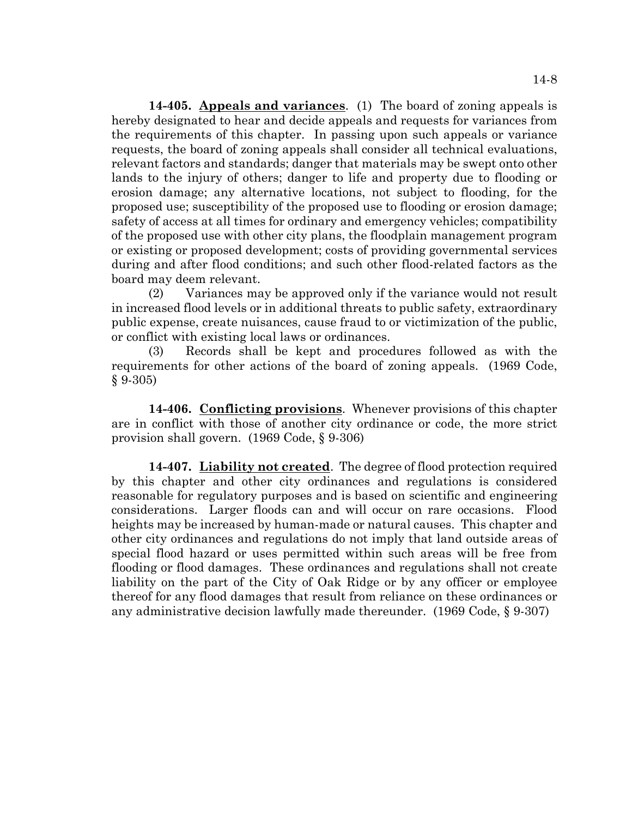**14-405. Appeals and variances**. (1) The board of zoning appeals is hereby designated to hear and decide appeals and requests for variances from the requirements of this chapter. In passing upon such appeals or variance requests, the board of zoning appeals shall consider all technical evaluations, relevant factors and standards; danger that materials may be swept onto other lands to the injury of others; danger to life and property due to flooding or erosion damage; any alternative locations, not subject to flooding, for the proposed use; susceptibility of the proposed use to flooding or erosion damage; safety of access at all times for ordinary and emergency vehicles; compatibility of the proposed use with other city plans, the floodplain management program or existing or proposed development; costs of providing governmental services during and after flood conditions; and such other flood-related factors as the board may deem relevant.

(2) Variances may be approved only if the variance would not result in increased flood levels or in additional threats to public safety, extraordinary public expense, create nuisances, cause fraud to or victimization of the public, or conflict with existing local laws or ordinances.

(3) Records shall be kept and procedures followed as with the requirements for other actions of the board of zoning appeals. (1969 Code,  $§ 9-305)$ 

**14-406. Conflicting provisions**. Whenever provisions of this chapter are in conflict with those of another city ordinance or code, the more strict provision shall govern. (1969 Code, § 9-306)

**14-407. Liability not created**. The degree of flood protection required by this chapter and other city ordinances and regulations is considered reasonable for regulatory purposes and is based on scientific and engineering considerations. Larger floods can and will occur on rare occasions. Flood heights may be increased by human-made or natural causes. This chapter and other city ordinances and regulations do not imply that land outside areas of special flood hazard or uses permitted within such areas will be free from flooding or flood damages. These ordinances and regulations shall not create liability on the part of the City of Oak Ridge or by any officer or employee thereof for any flood damages that result from reliance on these ordinances or any administrative decision lawfully made thereunder. (1969 Code, § 9-307)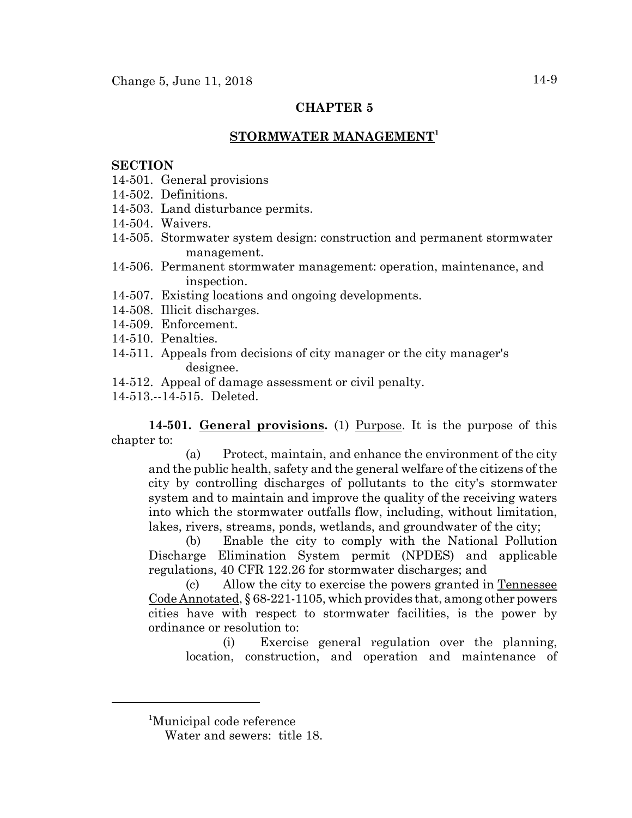# **STORMWATER MANAGEMENT1**

#### **SECTION**

- 14-501. General provisions
- 14-502. Definitions.
- 14-503. Land disturbance permits.
- 14-504. Waivers.
- 14-505. Stormwater system design: construction and permanent stormwater management.
- 14-506. Permanent stormwater management: operation, maintenance, and inspection.
- 14-507. Existing locations and ongoing developments.
- 14-508. Illicit discharges.
- 14-509. Enforcement.
- 14-510. Penalties.
- 14-511. Appeals from decisions of city manager or the city manager's designee.
- 14-512. Appeal of damage assessment or civil penalty.
- 14-513.--14-515. Deleted.

**14-501. General provisions.** (1) Purpose. It is the purpose of this chapter to:

(a) Protect, maintain, and enhance the environment of the city and the public health, safety and the general welfare of the citizens of the city by controlling discharges of pollutants to the city's stormwater system and to maintain and improve the quality of the receiving waters into which the stormwater outfalls flow, including, without limitation, lakes, rivers, streams, ponds, wetlands, and groundwater of the city;

(b) Enable the city to comply with the National Pollution Discharge Elimination System permit (NPDES) and applicable regulations, 40 CFR 122.26 for stormwater discharges; and

(c) Allow the city to exercise the powers granted in Tennessee Code Annotated, § 68-221-1105, which provides that, among other powers cities have with respect to stormwater facilities, is the power by ordinance or resolution to:

(i) Exercise general regulation over the planning, location, construction, and operation and maintenance of

<sup>1</sup> Municipal code reference

Water and sewers: title 18.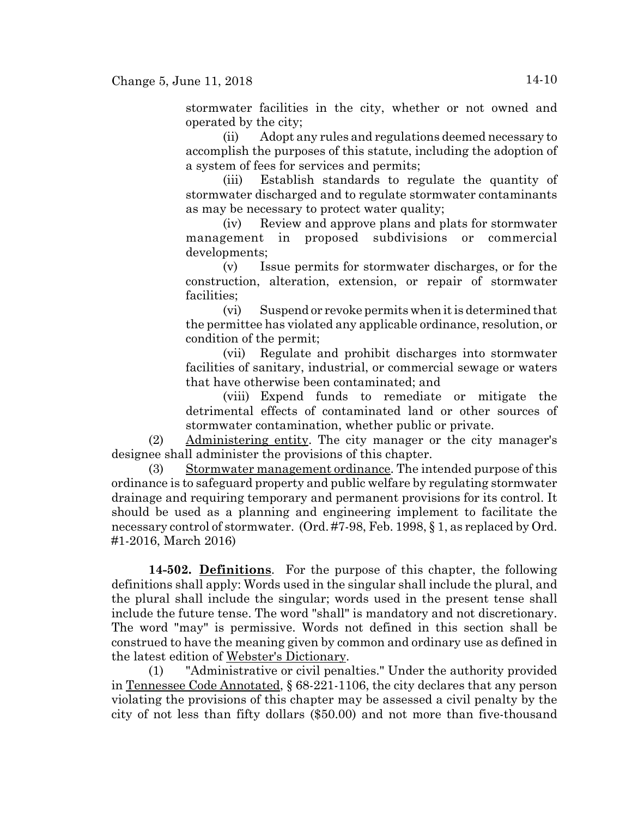stormwater facilities in the city, whether or not owned and operated by the city;

(ii) Adopt any rules and regulations deemed necessary to accomplish the purposes of this statute, including the adoption of a system of fees for services and permits;

(iii) Establish standards to regulate the quantity of stormwater discharged and to regulate stormwater contaminants as may be necessary to protect water quality;

(iv) Review and approve plans and plats for stormwater management in proposed subdivisions or commercial developments;

(v) Issue permits for stormwater discharges, or for the construction, alteration, extension, or repair of stormwater facilities;

(vi) Suspend or revoke permits when it is determined that the permittee has violated any applicable ordinance, resolution, or condition of the permit;

(vii) Regulate and prohibit discharges into stormwater facilities of sanitary, industrial, or commercial sewage or waters that have otherwise been contaminated; and

(viii) Expend funds to remediate or mitigate the detrimental effects of contaminated land or other sources of stormwater contamination, whether public or private.

(2) Administering entity. The city manager or the city manager's designee shall administer the provisions of this chapter.

(3) Stormwater management ordinance. The intended purpose of this ordinance is to safeguard property and public welfare by regulating stormwater drainage and requiring temporary and permanent provisions for its control. It should be used as a planning and engineering implement to facilitate the necessary control of stormwater. (Ord. #7-98, Feb. 1998, § 1, as replaced by Ord. #1-2016, March 2016)

**14-502. Definitions**. For the purpose of this chapter, the following definitions shall apply: Words used in the singular shall include the plural, and the plural shall include the singular; words used in the present tense shall include the future tense. The word "shall" is mandatory and not discretionary. The word "may" is permissive. Words not defined in this section shall be construed to have the meaning given by common and ordinary use as defined in the latest edition of Webster's Dictionary.

(1) "Administrative or civil penalties." Under the authority provided in Tennessee Code Annotated, § 68-221-1106, the city declares that any person violating the provisions of this chapter may be assessed a civil penalty by the city of not less than fifty dollars (\$50.00) and not more than five-thousand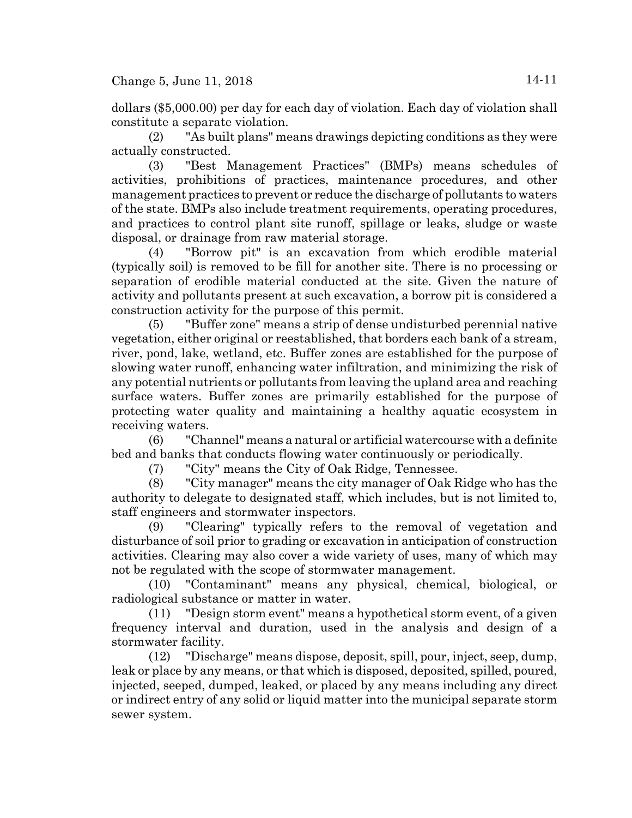dollars (\$5,000.00) per day for each day of violation. Each day of violation shall constitute a separate violation.

(2) "As built plans" means drawings depicting conditions as they were actually constructed.

(3) "Best Management Practices" (BMPs) means schedules of activities, prohibitions of practices, maintenance procedures, and other management practices to prevent or reduce the discharge of pollutants to waters of the state. BMPs also include treatment requirements, operating procedures, and practices to control plant site runoff, spillage or leaks, sludge or waste disposal, or drainage from raw material storage.

(4) "Borrow pit" is an excavation from which erodible material (typically soil) is removed to be fill for another site. There is no processing or separation of erodible material conducted at the site. Given the nature of activity and pollutants present at such excavation, a borrow pit is considered a construction activity for the purpose of this permit.

(5) "Buffer zone" means a strip of dense undisturbed perennial native vegetation, either original or reestablished, that borders each bank of a stream, river, pond, lake, wetland, etc. Buffer zones are established for the purpose of slowing water runoff, enhancing water infiltration, and minimizing the risk of any potential nutrients or pollutants from leaving the upland area and reaching surface waters. Buffer zones are primarily established for the purpose of protecting water quality and maintaining a healthy aquatic ecosystem in receiving waters.

(6) "Channel" means a natural or artificial watercourse with a definite bed and banks that conducts flowing water continuously or periodically.

(7) "City" means the City of Oak Ridge, Tennessee.

(8) "City manager" means the city manager of Oak Ridge who has the authority to delegate to designated staff, which includes, but is not limited to, staff engineers and stormwater inspectors.

(9) "Clearing" typically refers to the removal of vegetation and disturbance of soil prior to grading or excavation in anticipation of construction activities. Clearing may also cover a wide variety of uses, many of which may not be regulated with the scope of stormwater management.

(10) "Contaminant" means any physical, chemical, biological, or radiological substance or matter in water.

(11) "Design storm event" means a hypothetical storm event, of a given frequency interval and duration, used in the analysis and design of a stormwater facility.

(12) "Discharge" means dispose, deposit, spill, pour, inject, seep, dump, leak or place by any means, or that which is disposed, deposited, spilled, poured, injected, seeped, dumped, leaked, or placed by any means including any direct or indirect entry of any solid or liquid matter into the municipal separate storm sewer system.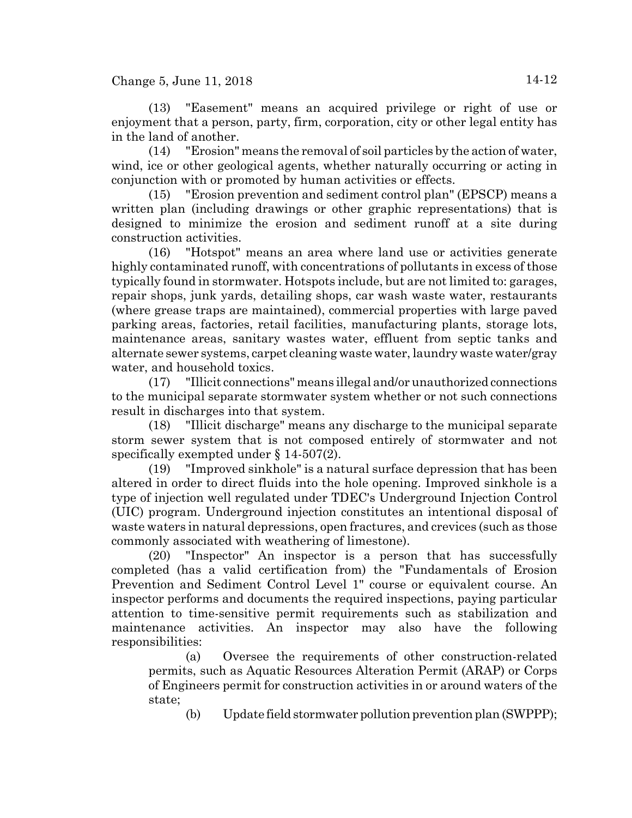Change 5, June 11, 2018  $14-12$ 

(13) "Easement" means an acquired privilege or right of use or enjoyment that a person, party, firm, corporation, city or other legal entity has in the land of another.

(14) "Erosion" means the removal of soil particles by the action of water, wind, ice or other geological agents, whether naturally occurring or acting in conjunction with or promoted by human activities or effects.

(15) "Erosion prevention and sediment control plan" (EPSCP) means a written plan (including drawings or other graphic representations) that is designed to minimize the erosion and sediment runoff at a site during construction activities.

(16) "Hotspot" means an area where land use or activities generate highly contaminated runoff, with concentrations of pollutants in excess of those typically found in stormwater. Hotspots include, but are not limited to: garages, repair shops, junk yards, detailing shops, car wash waste water, restaurants (where grease traps are maintained), commercial properties with large paved parking areas, factories, retail facilities, manufacturing plants, storage lots, maintenance areas, sanitary wastes water, effluent from septic tanks and alternate sewer systems, carpet cleaning waste water, laundry waste water/gray water, and household toxics.

(17) "Illicit connections" means illegal and/or unauthorized connections to the municipal separate stormwater system whether or not such connections result in discharges into that system.

(18) "Illicit discharge" means any discharge to the municipal separate storm sewer system that is not composed entirely of stormwater and not specifically exempted under § 14-507(2).

(19) "Improved sinkhole" is a natural surface depression that has been altered in order to direct fluids into the hole opening. Improved sinkhole is a type of injection well regulated under TDEC's Underground Injection Control (UIC) program. Underground injection constitutes an intentional disposal of waste waters in natural depressions, open fractures, and crevices (such as those commonly associated with weathering of limestone).

(20) "Inspector" An inspector is a person that has successfully completed (has a valid certification from) the "Fundamentals of Erosion Prevention and Sediment Control Level 1" course or equivalent course. An inspector performs and documents the required inspections, paying particular attention to time-sensitive permit requirements such as stabilization and maintenance activities. An inspector may also have the following responsibilities:

(a) Oversee the requirements of other construction-related permits, such as Aquatic Resources Alteration Permit (ARAP) or Corps of Engineers permit for construction activities in or around waters of the state;

(b) Update field stormwater pollution prevention plan (SWPPP);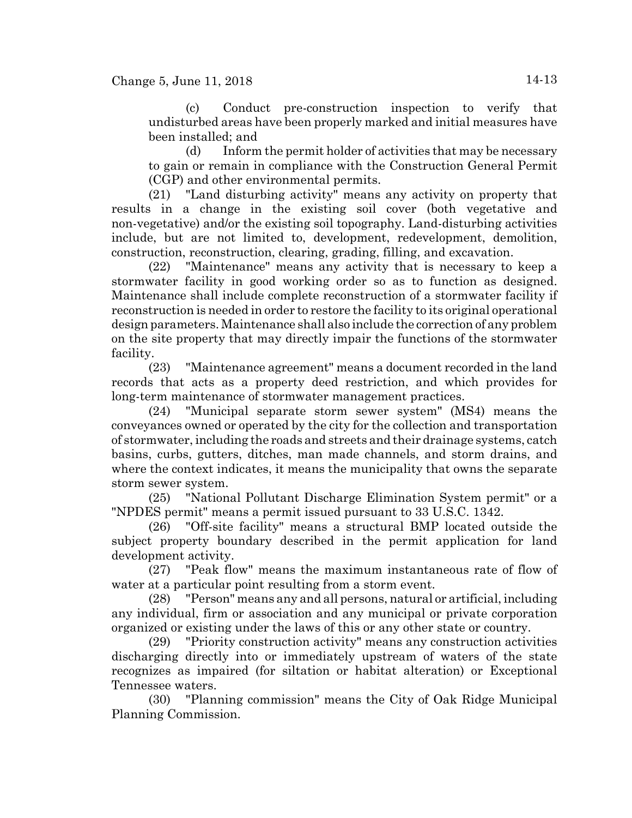(c) Conduct pre-construction inspection to verify that undisturbed areas have been properly marked and initial measures have been installed; and

(d) Inform the permit holder of activities that may be necessary to gain or remain in compliance with the Construction General Permit (CGP) and other environmental permits.

(21) "Land disturbing activity" means any activity on property that results in a change in the existing soil cover (both vegetative and non-vegetative) and/or the existing soil topography. Land-disturbing activities include, but are not limited to, development, redevelopment, demolition, construction, reconstruction, clearing, grading, filling, and excavation.

(22) "Maintenance" means any activity that is necessary to keep a stormwater facility in good working order so as to function as designed. Maintenance shall include complete reconstruction of a stormwater facility if reconstruction is needed in order to restore the facility to its original operational design parameters. Maintenance shall also include the correction of any problem on the site property that may directly impair the functions of the stormwater facility.

(23) "Maintenance agreement" means a document recorded in the land records that acts as a property deed restriction, and which provides for long-term maintenance of stormwater management practices.

(24) "Municipal separate storm sewer system" (MS4) means the conveyances owned or operated by the city for the collection and transportation of stormwater, including the roads and streets and their drainage systems, catch basins, curbs, gutters, ditches, man made channels, and storm drains, and where the context indicates, it means the municipality that owns the separate storm sewer system.

(25) "National Pollutant Discharge Elimination System permit" or a "NPDES permit" means a permit issued pursuant to 33 U.S.C. 1342.

(26) "Off-site facility" means a structural BMP located outside the subject property boundary described in the permit application for land development activity.

(27) "Peak flow" means the maximum instantaneous rate of flow of water at a particular point resulting from a storm event.

(28) "Person" means any and all persons, natural or artificial, including any individual, firm or association and any municipal or private corporation organized or existing under the laws of this or any other state or country.

(29) "Priority construction activity" means any construction activities discharging directly into or immediately upstream of waters of the state recognizes as impaired (for siltation or habitat alteration) or Exceptional Tennessee waters.

(30) "Planning commission" means the City of Oak Ridge Municipal Planning Commission.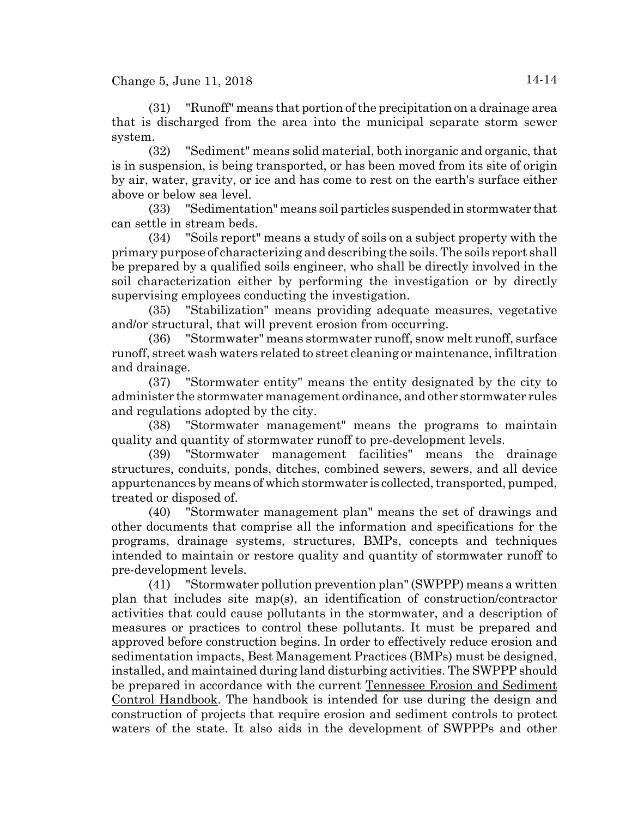(31) "Runoff" means that portion of the precipitation on a drainage area that is discharged from the area into the municipal separate storm sewer system.

(32) "Sediment" means solid material, both inorganic and organic, that is in suspension, is being transported, or has been moved from its site of origin by air, water, gravity, or ice and has come to rest on the earth's surface either above or below sea level.

(33) "Sedimentation" means soil particles suspended in stormwater that can settle in stream beds.

(34) "Soils report" means a study of soils on a subject property with the primary purpose of characterizing and describing the soils. The soils report shall be prepared by a qualified soils engineer, who shall be directly involved in the soil characterization either by performing the investigation or by directly supervising employees conducting the investigation.

(35) "Stabilization" means providing adequate measures, vegetative and/or structural, that will prevent erosion from occurring.

(36) "Stormwater" means stormwater runoff, snow melt runoff, surface runoff, street wash waters related to street cleaning or maintenance, infiltration and drainage.

(37) "Stormwater entity" means the entity designated by the city to administer the stormwater management ordinance, and other stormwater rules and regulations adopted by the city.

(38) "Stormwater management" means the programs to maintain quality and quantity of stormwater runoff to pre-development levels.

(39) "Stormwater management facilities" means the drainage structures, conduits, ponds, ditches, combined sewers, sewers, and all device appurtenances by means of which stormwater is collected, transported, pumped, treated or disposed of.

(40) "Stormwater management plan" means the set of drawings and other documents that comprise all the information and specifications for the programs, drainage systems, structures, BMPs, concepts and techniques intended to maintain or restore quality and quantity of stormwater runoff to pre-development levels.

(41) "Stormwater pollution prevention plan" (SWPPP) means a written plan that includes site map(s), an identification of construction/contractor activities that could cause pollutants in the stormwater, and a description of measures or practices to control these pollutants. It must be prepared and approved before construction begins. In order to effectively reduce erosion and sedimentation impacts, Best Management Practices (BMPs) must be designed, installed, and maintained during land disturbing activities. The SWPPP should be prepared in accordance with the current Tennessee Erosion and Sediment Control Handbook. The handbook is intended for use during the design and construction of projects that require erosion and sediment controls to protect waters of the state. It also aids in the development of SWPPPs and other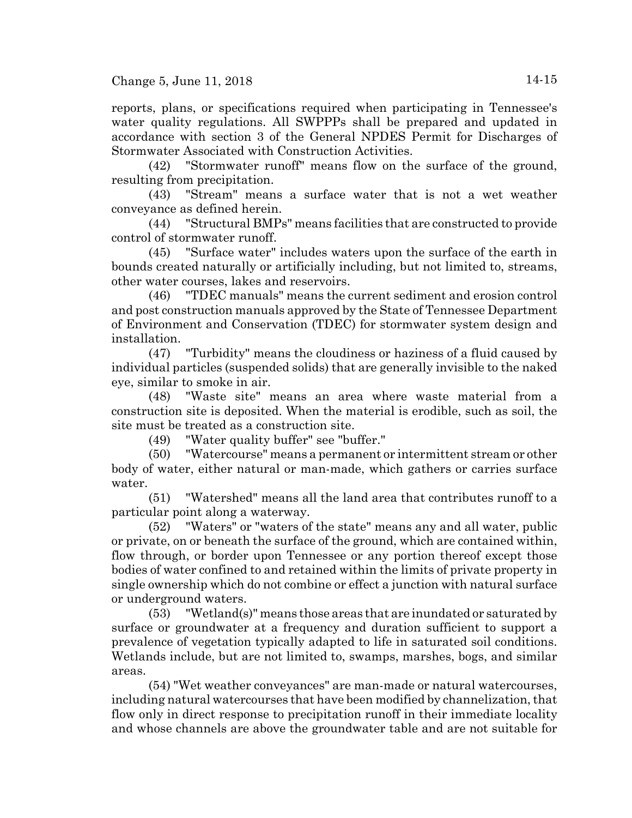reports, plans, or specifications required when participating in Tennessee's water quality regulations. All SWPPPs shall be prepared and updated in accordance with section 3 of the General NPDES Permit for Discharges of Stormwater Associated with Construction Activities.

(42) "Stormwater runoff" means flow on the surface of the ground, resulting from precipitation.

(43) "Stream" means a surface water that is not a wet weather conveyance as defined herein.

(44) "Structural BMPs" means facilities that are constructed to provide control of stormwater runoff.

(45) "Surface water" includes waters upon the surface of the earth in bounds created naturally or artificially including, but not limited to, streams, other water courses, lakes and reservoirs.

(46) "TDEC manuals" means the current sediment and erosion control and post construction manuals approved by the State of Tennessee Department of Environment and Conservation (TDEC) for stormwater system design and installation.

(47) "Turbidity" means the cloudiness or haziness of a fluid caused by individual particles (suspended solids) that are generally invisible to the naked eye, similar to smoke in air.

(48) "Waste site" means an area where waste material from a construction site is deposited. When the material is erodible, such as soil, the site must be treated as a construction site.

(49) "Water quality buffer" see "buffer."

(50) "Watercourse" means a permanent or intermittent stream or other body of water, either natural or man-made, which gathers or carries surface water.

(51) "Watershed" means all the land area that contributes runoff to a particular point along a waterway.

(52) "Waters" or "waters of the state" means any and all water, public or private, on or beneath the surface of the ground, which are contained within, flow through, or border upon Tennessee or any portion thereof except those bodies of water confined to and retained within the limits of private property in single ownership which do not combine or effect a junction with natural surface or underground waters.

(53) "Wetland(s)" means those areas that are inundated or saturated by surface or groundwater at a frequency and duration sufficient to support a prevalence of vegetation typically adapted to life in saturated soil conditions. Wetlands include, but are not limited to, swamps, marshes, bogs, and similar areas.

(54) "Wet weather conveyances" are man-made or natural watercourses, including natural watercourses that have been modified by channelization, that flow only in direct response to precipitation runoff in their immediate locality and whose channels are above the groundwater table and are not suitable for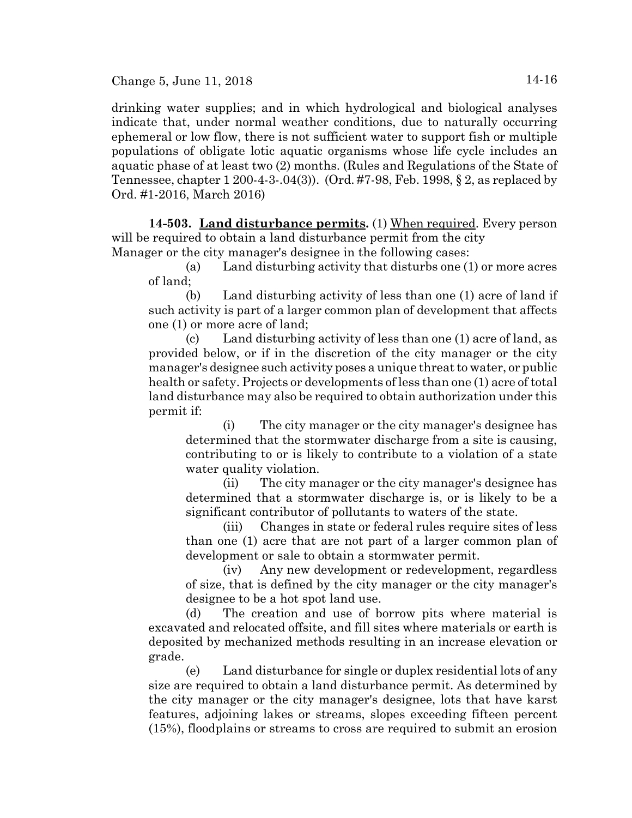Change 5, June 11, 2018  $14-16$ 

drinking water supplies; and in which hydrological and biological analyses indicate that, under normal weather conditions, due to naturally occurring ephemeral or low flow, there is not sufficient water to support fish or multiple populations of obligate lotic aquatic organisms whose life cycle includes an aquatic phase of at least two (2) months. (Rules and Regulations of the State of Tennessee, chapter 1 200-4-3-.04(3)). (Ord. #7-98, Feb. 1998, § 2, as replaced by Ord. #1-2016, March 2016)

**14-503. Land disturbance permits.** (1) When required. Every person will be required to obtain a land disturbance permit from the city Manager or the city manager's designee in the following cases:

(a) Land disturbing activity that disturbs one (1) or more acres of land;

(b) Land disturbing activity of less than one (1) acre of land if such activity is part of a larger common plan of development that affects one (1) or more acre of land;

(c) Land disturbing activity of less than one (1) acre of land, as provided below, or if in the discretion of the city manager or the city manager's designee such activity poses a unique threat to water, or public health or safety. Projects or developments of less than one (1) acre of total land disturbance may also be required to obtain authorization under this permit if:

(i) The city manager or the city manager's designee has determined that the stormwater discharge from a site is causing, contributing to or is likely to contribute to a violation of a state water quality violation.

(ii) The city manager or the city manager's designee has determined that a stormwater discharge is, or is likely to be a significant contributor of pollutants to waters of the state.

(iii) Changes in state or federal rules require sites of less than one (1) acre that are not part of a larger common plan of development or sale to obtain a stormwater permit.

(iv) Any new development or redevelopment, regardless of size, that is defined by the city manager or the city manager's designee to be a hot spot land use.

(d) The creation and use of borrow pits where material is excavated and relocated offsite, and fill sites where materials or earth is deposited by mechanized methods resulting in an increase elevation or grade.

(e) Land disturbance for single or duplex residential lots of any size are required to obtain a land disturbance permit. As determined by the city manager or the city manager's designee, lots that have karst features, adjoining lakes or streams, slopes exceeding fifteen percent (15%), floodplains or streams to cross are required to submit an erosion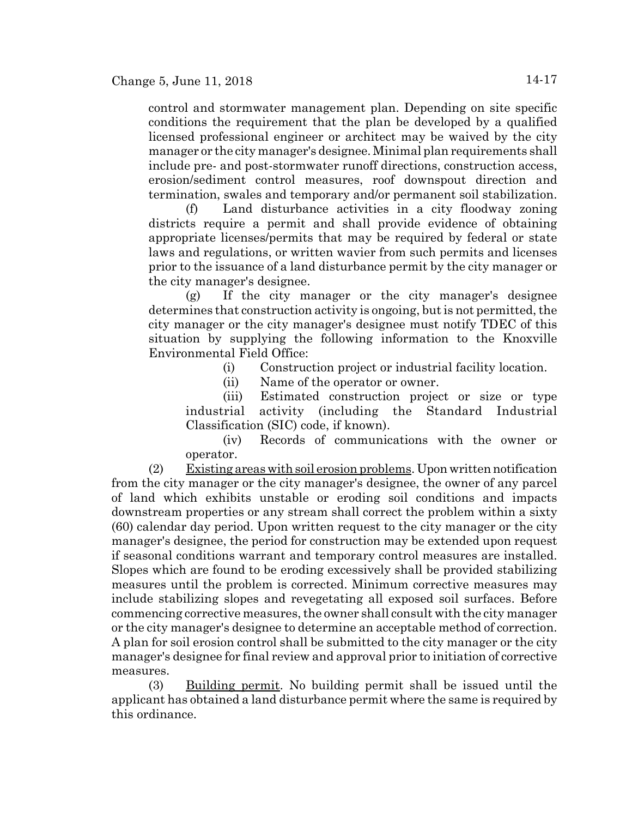control and stormwater management plan. Depending on site specific conditions the requirement that the plan be developed by a qualified licensed professional engineer or architect may be waived by the city manager or the city manager's designee. Minimal plan requirements shall include pre- and post-stormwater runoff directions, construction access, erosion/sediment control measures, roof downspout direction and termination, swales and temporary and/or permanent soil stabilization.

(f) Land disturbance activities in a city floodway zoning districts require a permit and shall provide evidence of obtaining appropriate licenses/permits that may be required by federal or state laws and regulations, or written wavier from such permits and licenses prior to the issuance of a land disturbance permit by the city manager or the city manager's designee.

(g) If the city manager or the city manager's designee determines that construction activity is ongoing, but is not permitted, the city manager or the city manager's designee must notify TDEC of this situation by supplying the following information to the Knoxville Environmental Field Office:

(i) Construction project or industrial facility location.

(ii) Name of the operator or owner.

(iii) Estimated construction project or size or type industrial activity (including the Standard Industrial Classification (SIC) code, if known).

(iv) Records of communications with the owner or operator.

(2) Existing areas with soil erosion problems. Upon written notification from the city manager or the city manager's designee, the owner of any parcel of land which exhibits unstable or eroding soil conditions and impacts downstream properties or any stream shall correct the problem within a sixty (60) calendar day period. Upon written request to the city manager or the city manager's designee, the period for construction may be extended upon request if seasonal conditions warrant and temporary control measures are installed. Slopes which are found to be eroding excessively shall be provided stabilizing measures until the problem is corrected. Minimum corrective measures may include stabilizing slopes and revegetating all exposed soil surfaces. Before commencing corrective measures, the owner shall consult with the city manager or the city manager's designee to determine an acceptable method of correction. A plan for soil erosion control shall be submitted to the city manager or the city manager's designee for final review and approval prior to initiation of corrective measures.

(3) Building permit. No building permit shall be issued until the applicant has obtained a land disturbance permit where the same is required by this ordinance.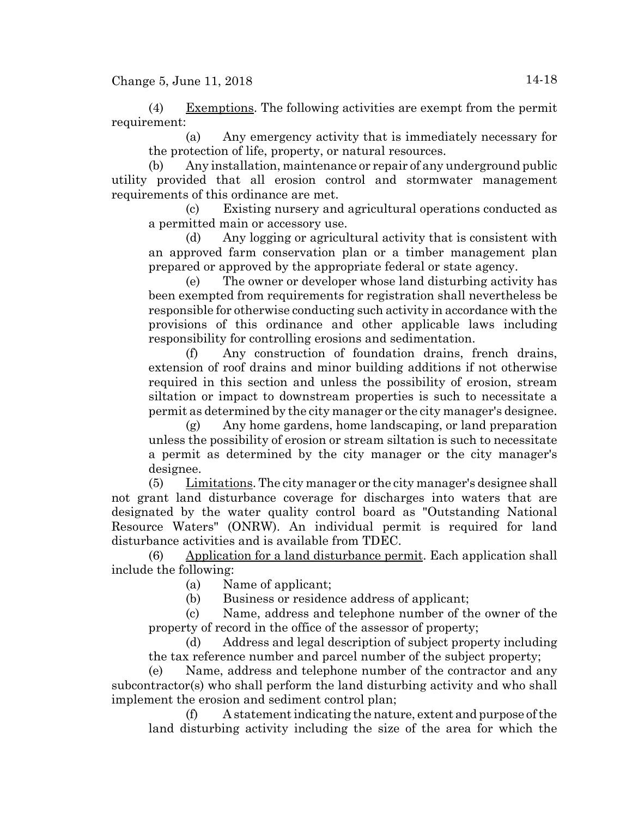Change 5, June 11, 2018  $14-18$ 

(4) Exemptions. The following activities are exempt from the permit requirement:

(a) Any emergency activity that is immediately necessary for the protection of life, property, or natural resources.

Any installation, maintenance or repair of any underground public utility provided that all erosion control and stormwater management requirements of this ordinance are met.

(c) Existing nursery and agricultural operations conducted as a permitted main or accessory use.

(d) Any logging or agricultural activity that is consistent with an approved farm conservation plan or a timber management plan prepared or approved by the appropriate federal or state agency.

(e) The owner or developer whose land disturbing activity has been exempted from requirements for registration shall nevertheless be responsible for otherwise conducting such activity in accordance with the provisions of this ordinance and other applicable laws including responsibility for controlling erosions and sedimentation.

(f) Any construction of foundation drains, french drains, extension of roof drains and minor building additions if not otherwise required in this section and unless the possibility of erosion, stream siltation or impact to downstream properties is such to necessitate a permit as determined by the city manager or the city manager's designee.

(g) Any home gardens, home landscaping, or land preparation unless the possibility of erosion or stream siltation is such to necessitate a permit as determined by the city manager or the city manager's designee.

(5) Limitations. The city manager or the city manager's designee shall not grant land disturbance coverage for discharges into waters that are designated by the water quality control board as "Outstanding National Resource Waters" (ONRW). An individual permit is required for land disturbance activities and is available from TDEC.

(6) Application for a land disturbance permit. Each application shall include the following:

(a) Name of applicant;

(b) Business or residence address of applicant;

(c) Name, address and telephone number of the owner of the property of record in the office of the assessor of property;

(d) Address and legal description of subject property including the tax reference number and parcel number of the subject property;

(e) Name, address and telephone number of the contractor and any subcontractor(s) who shall perform the land disturbing activity and who shall implement the erosion and sediment control plan;

(f) A statement indicating the nature, extent and purpose of the land disturbing activity including the size of the area for which the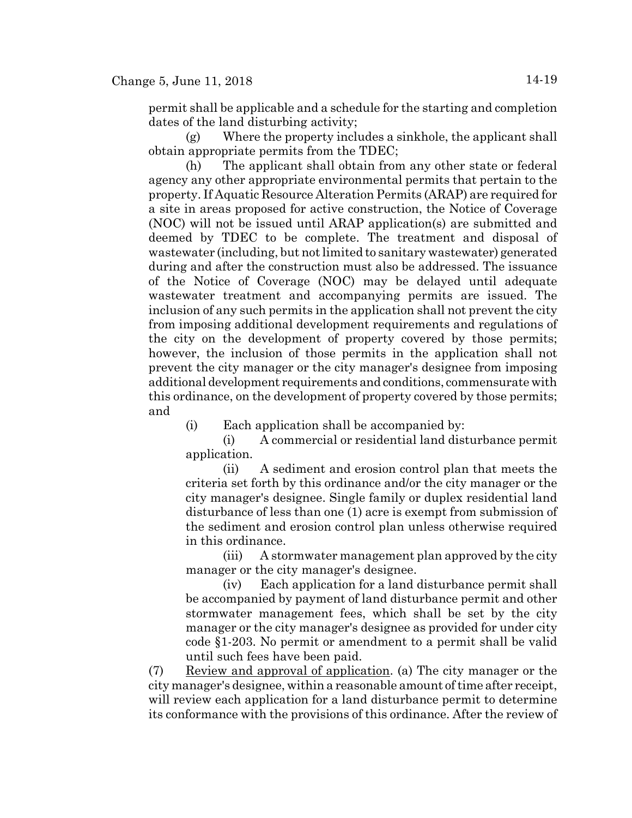permit shall be applicable and a schedule for the starting and completion dates of the land disturbing activity;

(g) Where the property includes a sinkhole, the applicant shall obtain appropriate permits from the TDEC;

(h) The applicant shall obtain from any other state or federal agency any other appropriate environmental permits that pertain to the property. If Aquatic Resource Alteration Permits (ARAP) are required for a site in areas proposed for active construction, the Notice of Coverage (NOC) will not be issued until ARAP application(s) are submitted and deemed by TDEC to be complete. The treatment and disposal of wastewater (including, but not limited to sanitary wastewater) generated during and after the construction must also be addressed. The issuance of the Notice of Coverage (NOC) may be delayed until adequate wastewater treatment and accompanying permits are issued. The inclusion of any such permits in the application shall not prevent the city from imposing additional development requirements and regulations of the city on the development of property covered by those permits; however, the inclusion of those permits in the application shall not prevent the city manager or the city manager's designee from imposing additional development requirements and conditions, commensurate with this ordinance, on the development of property covered by those permits; and

(i) Each application shall be accompanied by:

(i) A commercial or residential land disturbance permit application.

(ii) A sediment and erosion control plan that meets the criteria set forth by this ordinance and/or the city manager or the city manager's designee. Single family or duplex residential land disturbance of less than one (1) acre is exempt from submission of the sediment and erosion control plan unless otherwise required in this ordinance.

(iii) A stormwater management plan approved by the city manager or the city manager's designee.

(iv) Each application for a land disturbance permit shall be accompanied by payment of land disturbance permit and other stormwater management fees, which shall be set by the city manager or the city manager's designee as provided for under city code §1-203. No permit or amendment to a permit shall be valid until such fees have been paid.

(7) Review and approval of application. (a) The city manager or the city manager's designee, within a reasonable amount of time after receipt, will review each application for a land disturbance permit to determine its conformance with the provisions of this ordinance. After the review of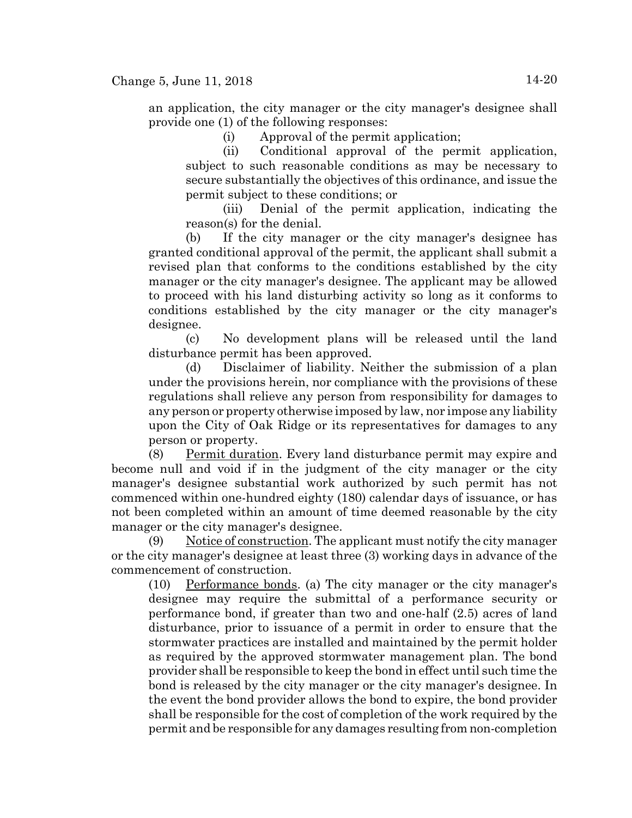an application, the city manager or the city manager's designee shall provide one (1) of the following responses:

(i) Approval of the permit application;

(ii) Conditional approval of the permit application, subject to such reasonable conditions as may be necessary to secure substantially the objectives of this ordinance, and issue the permit subject to these conditions; or

(iii) Denial of the permit application, indicating the reason(s) for the denial.

(b) If the city manager or the city manager's designee has granted conditional approval of the permit, the applicant shall submit a revised plan that conforms to the conditions established by the city manager or the city manager's designee. The applicant may be allowed to proceed with his land disturbing activity so long as it conforms to conditions established by the city manager or the city manager's designee.

(c) No development plans will be released until the land disturbance permit has been approved.

(d) Disclaimer of liability. Neither the submission of a plan under the provisions herein, nor compliance with the provisions of these regulations shall relieve any person from responsibility for damages to any person or property otherwise imposed by law, nor impose any liability upon the City of Oak Ridge or its representatives for damages to any person or property.

(8) Permit duration. Every land disturbance permit may expire and become null and void if in the judgment of the city manager or the city manager's designee substantial work authorized by such permit has not commenced within one-hundred eighty (180) calendar days of issuance, or has not been completed within an amount of time deemed reasonable by the city manager or the city manager's designee.

(9) Notice of construction. The applicant must notify the city manager or the city manager's designee at least three (3) working days in advance of the commencement of construction.

 $(10)$  Performance bonds. (a) The city manager or the city manager's designee may require the submittal of a performance security or performance bond, if greater than two and one-half (2.5) acres of land disturbance, prior to issuance of a permit in order to ensure that the stormwater practices are installed and maintained by the permit holder as required by the approved stormwater management plan. The bond provider shall be responsible to keep the bond in effect until such time the bond is released by the city manager or the city manager's designee. In the event the bond provider allows the bond to expire, the bond provider shall be responsible for the cost of completion of the work required by the permit and be responsible for any damages resulting from non-completion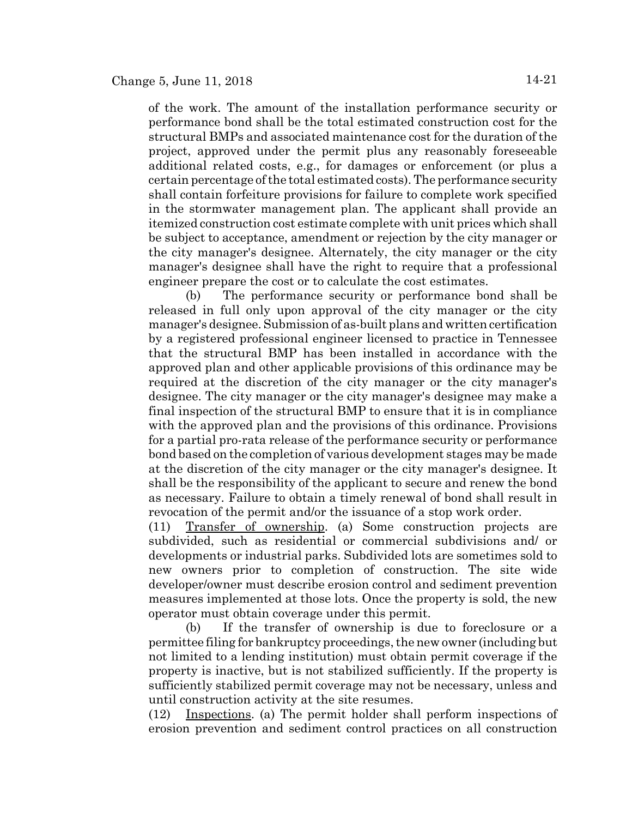of the work. The amount of the installation performance security or performance bond shall be the total estimated construction cost for the structural BMPs and associated maintenance cost for the duration of the project, approved under the permit plus any reasonably foreseeable additional related costs, e.g., for damages or enforcement (or plus a certain percentage of the total estimated costs). The performance security shall contain forfeiture provisions for failure to complete work specified in the stormwater management plan. The applicant shall provide an itemized construction cost estimate complete with unit prices which shall be subject to acceptance, amendment or rejection by the city manager or the city manager's designee. Alternately, the city manager or the city manager's designee shall have the right to require that a professional engineer prepare the cost or to calculate the cost estimates.

(b) The performance security or performance bond shall be released in full only upon approval of the city manager or the city manager's designee. Submission of as-built plans and written certification by a registered professional engineer licensed to practice in Tennessee that the structural BMP has been installed in accordance with the approved plan and other applicable provisions of this ordinance may be required at the discretion of the city manager or the city manager's designee. The city manager or the city manager's designee may make a final inspection of the structural BMP to ensure that it is in compliance with the approved plan and the provisions of this ordinance. Provisions for a partial pro-rata release of the performance security or performance bond based on the completion of various development stages may be made at the discretion of the city manager or the city manager's designee. It shall be the responsibility of the applicant to secure and renew the bond as necessary. Failure to obtain a timely renewal of bond shall result in revocation of the permit and/or the issuance of a stop work order.

(11) Transfer of ownership. (a) Some construction projects are subdivided, such as residential or commercial subdivisions and/ or developments or industrial parks. Subdivided lots are sometimes sold to new owners prior to completion of construction. The site wide developer/owner must describe erosion control and sediment prevention measures implemented at those lots. Once the property is sold, the new operator must obtain coverage under this permit.

(b) If the transfer of ownership is due to foreclosure or a permittee filing for bankruptcy proceedings, the new owner (including but not limited to a lending institution) must obtain permit coverage if the property is inactive, but is not stabilized sufficiently. If the property is sufficiently stabilized permit coverage may not be necessary, unless and until construction activity at the site resumes.

(12) Inspections. (a) The permit holder shall perform inspections of erosion prevention and sediment control practices on all construction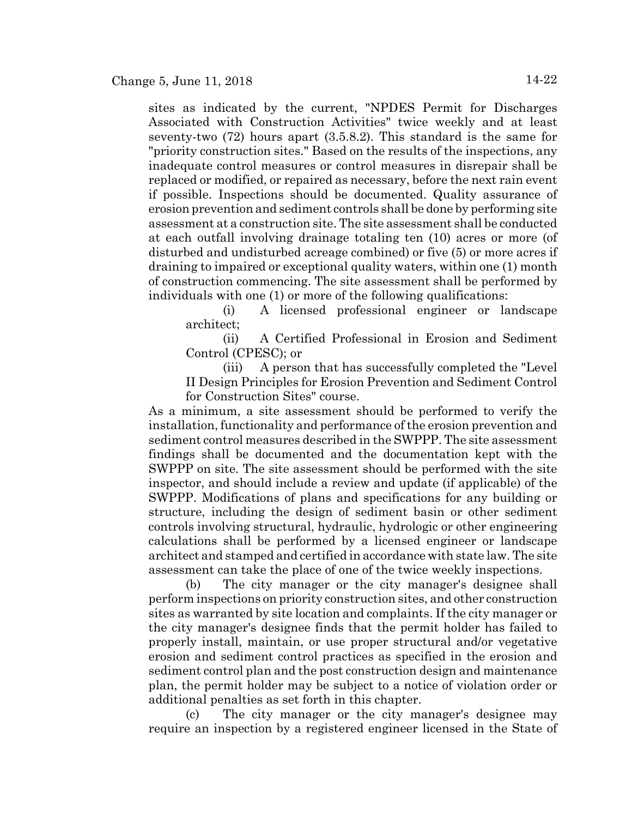sites as indicated by the current, "NPDES Permit for Discharges Associated with Construction Activities" twice weekly and at least seventy-two (72) hours apart (3.5.8.2). This standard is the same for "priority construction sites." Based on the results of the inspections, any inadequate control measures or control measures in disrepair shall be replaced or modified, or repaired as necessary, before the next rain event if possible. Inspections should be documented. Quality assurance of erosion prevention and sediment controls shall be done by performing site assessment at a construction site. The site assessment shall be conducted at each outfall involving drainage totaling ten (10) acres or more (of disturbed and undisturbed acreage combined) or five (5) or more acres if draining to impaired or exceptional quality waters, within one (1) month of construction commencing. The site assessment shall be performed by individuals with one (1) or more of the following qualifications:

(i) A licensed professional engineer or landscape architect;

(ii) A Certified Professional in Erosion and Sediment Control (CPESC); or

(iii) A person that has successfully completed the "Level II Design Principles for Erosion Prevention and Sediment Control for Construction Sites" course.

As a minimum, a site assessment should be performed to verify the installation, functionality and performance of the erosion prevention and sediment control measures described in the SWPPP. The site assessment findings shall be documented and the documentation kept with the SWPPP on site. The site assessment should be performed with the site inspector, and should include a review and update (if applicable) of the SWPPP. Modifications of plans and specifications for any building or structure, including the design of sediment basin or other sediment controls involving structural, hydraulic, hydrologic or other engineering calculations shall be performed by a licensed engineer or landscape architect and stamped and certified in accordance with state law. The site assessment can take the place of one of the twice weekly inspections.

(b) The city manager or the city manager's designee shall perform inspections on priority construction sites, and other construction sites as warranted by site location and complaints. If the city manager or the city manager's designee finds that the permit holder has failed to properly install, maintain, or use proper structural and/or vegetative erosion and sediment control practices as specified in the erosion and sediment control plan and the post construction design and maintenance plan, the permit holder may be subject to a notice of violation order or additional penalties as set forth in this chapter.

(c) The city manager or the city manager's designee may require an inspection by a registered engineer licensed in the State of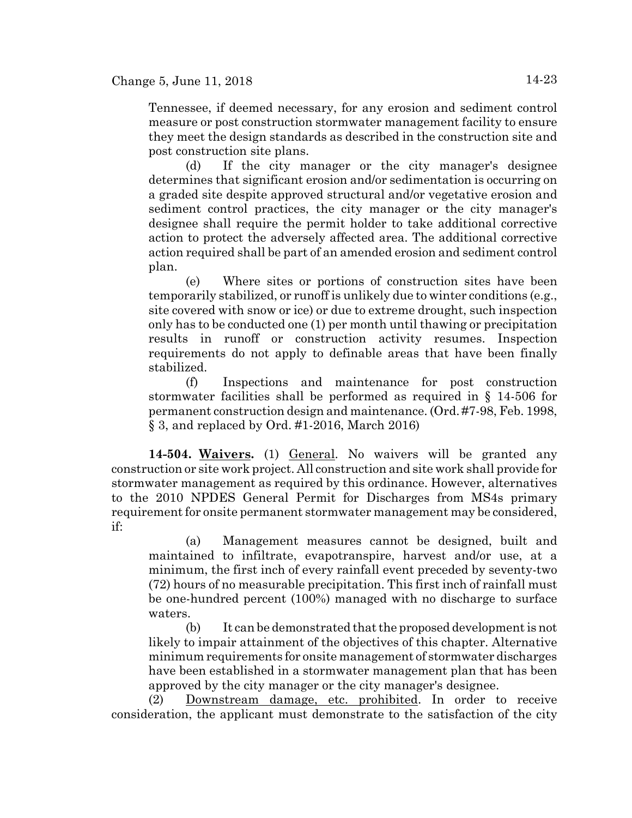Tennessee, if deemed necessary, for any erosion and sediment control measure or post construction stormwater management facility to ensure they meet the design standards as described in the construction site and post construction site plans.

(d) If the city manager or the city manager's designee determines that significant erosion and/or sedimentation is occurring on a graded site despite approved structural and/or vegetative erosion and sediment control practices, the city manager or the city manager's designee shall require the permit holder to take additional corrective action to protect the adversely affected area. The additional corrective action required shall be part of an amended erosion and sediment control plan.

(e) Where sites or portions of construction sites have been temporarily stabilized, or runoff is unlikely due to winter conditions (e.g., site covered with snow or ice) or due to extreme drought, such inspection only has to be conducted one (1) per month until thawing or precipitation results in runoff or construction activity resumes. Inspection requirements do not apply to definable areas that have been finally stabilized.

(f) Inspections and maintenance for post construction stormwater facilities shall be performed as required in § 14-506 for permanent construction design and maintenance. (Ord. #7-98, Feb. 1998, § 3, and replaced by Ord. #1-2016, March 2016)

**14-504. Waivers.** (1) General. No waivers will be granted any construction or site work project. All construction and site work shall provide for stormwater management as required by this ordinance. However, alternatives to the 2010 NPDES General Permit for Discharges from MS4s primary requirement for onsite permanent stormwater management may be considered, if:

(a) Management measures cannot be designed, built and maintained to infiltrate, evapotranspire, harvest and/or use, at a minimum, the first inch of every rainfall event preceded by seventy-two (72) hours of no measurable precipitation. This first inch of rainfall must be one-hundred percent (100%) managed with no discharge to surface waters.

(b) It can be demonstrated that the proposed development is not likely to impair attainment of the objectives of this chapter. Alternative minimum requirements for onsite management of stormwater discharges have been established in a stormwater management plan that has been approved by the city manager or the city manager's designee.

(2) Downstream damage, etc. prohibited. In order to receive consideration, the applicant must demonstrate to the satisfaction of the city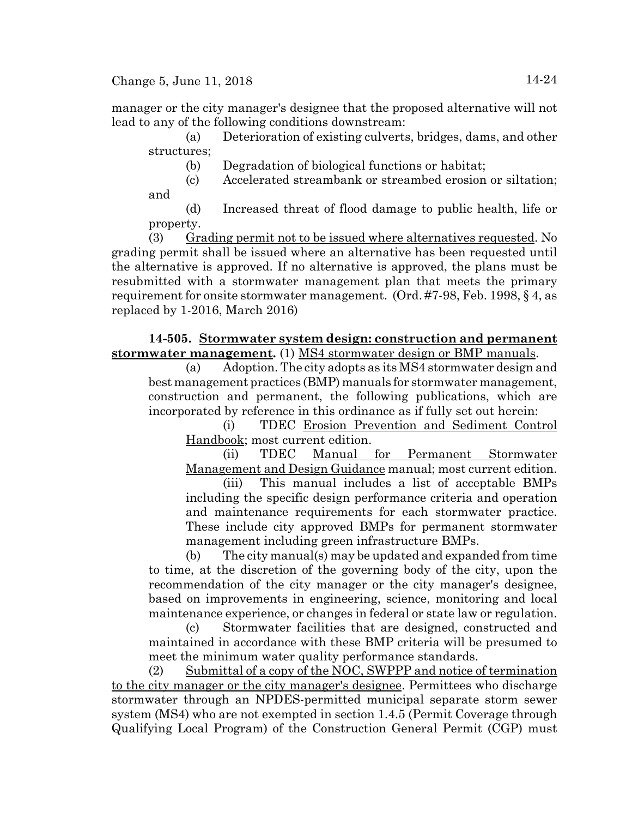Change 5, June 11, 2018  $14-24$ 

manager or the city manager's designee that the proposed alternative will not lead to any of the following conditions downstream:

(a) Deterioration of existing culverts, bridges, dams, and other structures;

(b) Degradation of biological functions or habitat;

(c) Accelerated streambank or streambed erosion or siltation; and

(d) Increased threat of flood damage to public health, life or property.

(3) Grading permit not to be issued where alternatives requested. No grading permit shall be issued where an alternative has been requested until the alternative is approved. If no alternative is approved, the plans must be resubmitted with a stormwater management plan that meets the primary requirement for onsite stormwater management. (Ord. #7-98, Feb. 1998, § 4, as replaced by 1-2016, March 2016)

# **14-505. Stormwater system design: construction and permanent stormwater management.** (1) MS4 stormwater design or BMP manuals.

(a) Adoption. The city adopts as its MS4 stormwater design and best management practices (BMP) manuals for stormwater management, construction and permanent, the following publications, which are incorporated by reference in this ordinance as if fully set out herein:

(i) TDEC Erosion Prevention and Sediment Control Handbook; most current edition.

(ii) TDEC Manual for Permanent Stormwater Management and Design Guidance manual; most current edition.

(iii) This manual includes a list of acceptable BMPs including the specific design performance criteria and operation and maintenance requirements for each stormwater practice. These include city approved BMPs for permanent stormwater management including green infrastructure BMPs.

(b) The city manual(s) may be updated and expanded from time to time, at the discretion of the governing body of the city, upon the recommendation of the city manager or the city manager's designee, based on improvements in engineering, science, monitoring and local maintenance experience, or changes in federal or state law or regulation.

(c) Stormwater facilities that are designed, constructed and maintained in accordance with these BMP criteria will be presumed to meet the minimum water quality performance standards.

(2) Submittal of a copy of the NOC, SWPPP and notice of termination to the city manager or the city manager's designee. Permittees who discharge stormwater through an NPDES-permitted municipal separate storm sewer system (MS4) who are not exempted in section 1.4.5 (Permit Coverage through Qualifying Local Program) of the Construction General Permit (CGP) must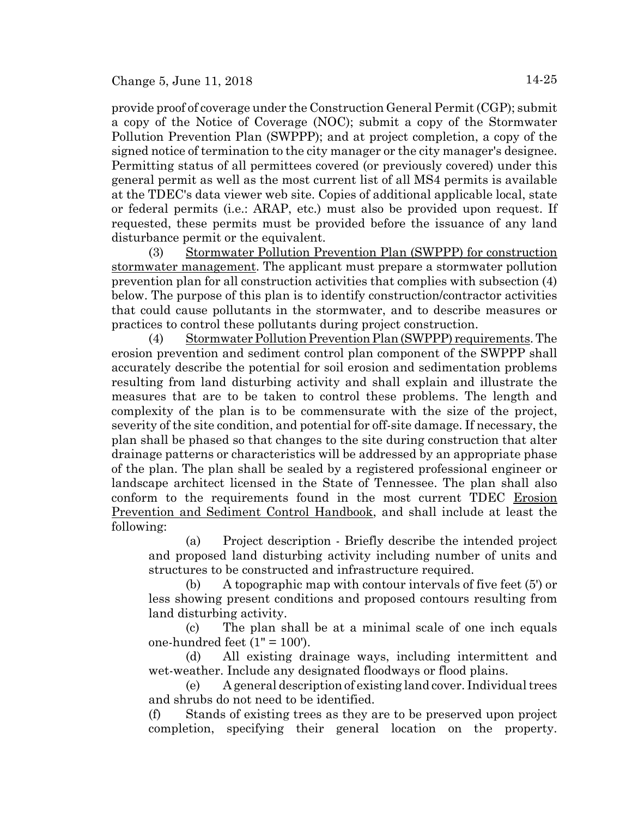provide proof of coverage under the Construction General Permit (CGP); submit a copy of the Notice of Coverage (NOC); submit a copy of the Stormwater Pollution Prevention Plan (SWPPP); and at project completion, a copy of the signed notice of termination to the city manager or the city manager's designee. Permitting status of all permittees covered (or previously covered) under this general permit as well as the most current list of all MS4 permits is available at the TDEC's data viewer web site. Copies of additional applicable local, state or federal permits (i.e.: ARAP, etc.) must also be provided upon request. If requested, these permits must be provided before the issuance of any land disturbance permit or the equivalent.

(3) Stormwater Pollution Prevention Plan (SWPPP) for construction stormwater management. The applicant must prepare a stormwater pollution prevention plan for all construction activities that complies with subsection (4) below. The purpose of this plan is to identify construction/contractor activities that could cause pollutants in the stormwater, and to describe measures or practices to control these pollutants during project construction.

(4) Stormwater Pollution Prevention Plan (SWPPP) requirements. The erosion prevention and sediment control plan component of the SWPPP shall accurately describe the potential for soil erosion and sedimentation problems resulting from land disturbing activity and shall explain and illustrate the measures that are to be taken to control these problems. The length and complexity of the plan is to be commensurate with the size of the project, severity of the site condition, and potential for off-site damage. If necessary, the plan shall be phased so that changes to the site during construction that alter drainage patterns or characteristics will be addressed by an appropriate phase of the plan. The plan shall be sealed by a registered professional engineer or landscape architect licensed in the State of Tennessee. The plan shall also conform to the requirements found in the most current TDEC Erosion Prevention and Sediment Control Handbook, and shall include at least the following:

(a) Project description - Briefly describe the intended project and proposed land disturbing activity including number of units and structures to be constructed and infrastructure required.

(b) A topographic map with contour intervals of five feet (5') or less showing present conditions and proposed contours resulting from land disturbing activity.

(c) The plan shall be at a minimal scale of one inch equals one-hundred feet  $(1" = 100')$ .

(d) All existing drainage ways, including intermittent and wet-weather. Include any designated floodways or flood plains.

(e) A general description of existing land cover. Individual trees and shrubs do not need to be identified.

(f) Stands of existing trees as they are to be preserved upon project completion, specifying their general location on the property.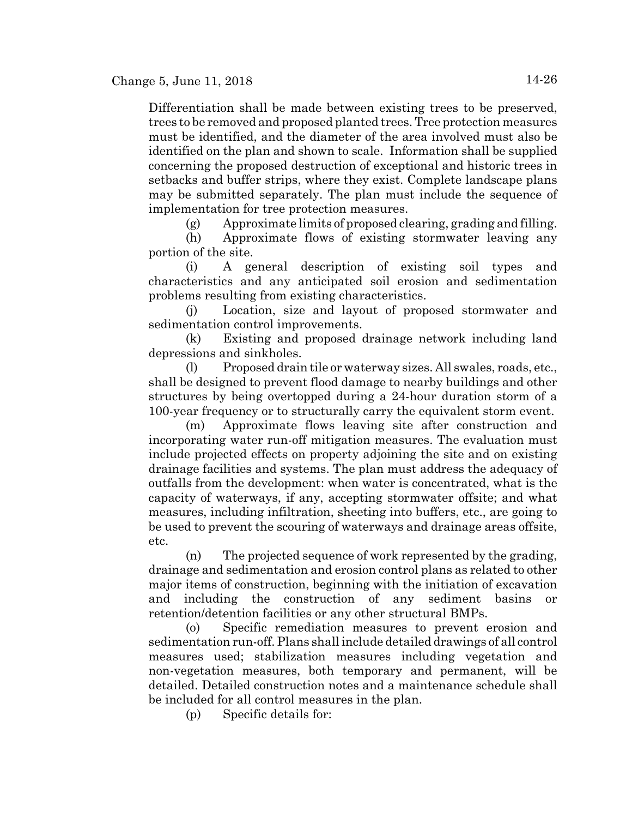Differentiation shall be made between existing trees to be preserved, trees to be removed and proposed planted trees. Tree protection measures must be identified, and the diameter of the area involved must also be identified on the plan and shown to scale. Information shall be supplied concerning the proposed destruction of exceptional and historic trees in setbacks and buffer strips, where they exist. Complete landscape plans may be submitted separately. The plan must include the sequence of implementation for tree protection measures.

(g) Approximate limits of proposed clearing, grading and filling.

(h) Approximate flows of existing stormwater leaving any portion of the site.

(i) A general description of existing soil types and characteristics and any anticipated soil erosion and sedimentation problems resulting from existing characteristics.

(j) Location, size and layout of proposed stormwater and sedimentation control improvements.

(k) Existing and proposed drainage network including land depressions and sinkholes.

(l) Proposed drain tile or waterway sizes. All swales, roads, etc., shall be designed to prevent flood damage to nearby buildings and other structures by being overtopped during a 24-hour duration storm of a 100-year frequency or to structurally carry the equivalent storm event.

(m) Approximate flows leaving site after construction and incorporating water run-off mitigation measures. The evaluation must include projected effects on property adjoining the site and on existing drainage facilities and systems. The plan must address the adequacy of outfalls from the development: when water is concentrated, what is the capacity of waterways, if any, accepting stormwater offsite; and what measures, including infiltration, sheeting into buffers, etc., are going to be used to prevent the scouring of waterways and drainage areas offsite, etc.

(n) The projected sequence of work represented by the grading, drainage and sedimentation and erosion control plans as related to other major items of construction, beginning with the initiation of excavation and including the construction of any sediment basins or retention/detention facilities or any other structural BMPs.

(o) Specific remediation measures to prevent erosion and sedimentation run-off. Plans shall include detailed drawings of all control measures used; stabilization measures including vegetation and non-vegetation measures, both temporary and permanent, will be detailed. Detailed construction notes and a maintenance schedule shall be included for all control measures in the plan.

(p) Specific details for: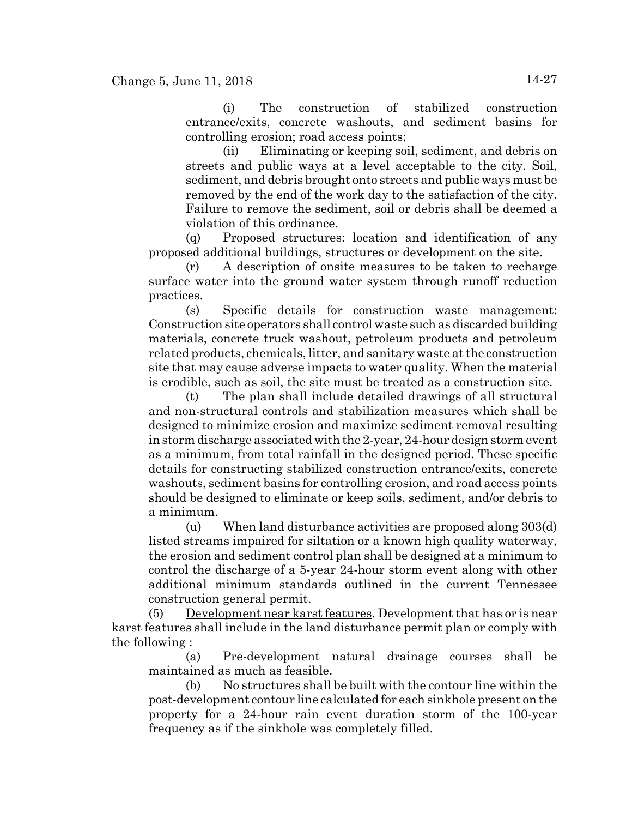(i) The construction of stabilized construction entrance/exits, concrete washouts, and sediment basins for controlling erosion; road access points;

(ii) Eliminating or keeping soil, sediment, and debris on streets and public ways at a level acceptable to the city. Soil, sediment, and debris brought onto streets and public ways must be removed by the end of the work day to the satisfaction of the city. Failure to remove the sediment, soil or debris shall be deemed a violation of this ordinance.

(q) Proposed structures: location and identification of any proposed additional buildings, structures or development on the site.

(r) A description of onsite measures to be taken to recharge surface water into the ground water system through runoff reduction practices.

(s) Specific details for construction waste management: Construction site operators shall control waste such as discarded building materials, concrete truck washout, petroleum products and petroleum related products, chemicals, litter, and sanitary waste at the construction site that may cause adverse impacts to water quality. When the material is erodible, such as soil, the site must be treated as a construction site.

(t) The plan shall include detailed drawings of all structural and non-structural controls and stabilization measures which shall be designed to minimize erosion and maximize sediment removal resulting in storm discharge associated with the 2-year, 24-hour design storm event as a minimum, from total rainfall in the designed period. These specific details for constructing stabilized construction entrance/exits, concrete washouts, sediment basins for controlling erosion, and road access points should be designed to eliminate or keep soils, sediment, and/or debris to a minimum.

(u) When land disturbance activities are proposed along 303(d) listed streams impaired for siltation or a known high quality waterway, the erosion and sediment control plan shall be designed at a minimum to control the discharge of a 5-year 24-hour storm event along with other additional minimum standards outlined in the current Tennessee construction general permit.

(5) Development near karst features. Development that has or is near karst features shall include in the land disturbance permit plan or comply with the following :

(a) Pre-development natural drainage courses shall be maintained as much as feasible.

(b) No structures shall be built with the contour line within the post-development contour line calculated for each sinkhole present on the property for a 24-hour rain event duration storm of the 100-year frequency as if the sinkhole was completely filled.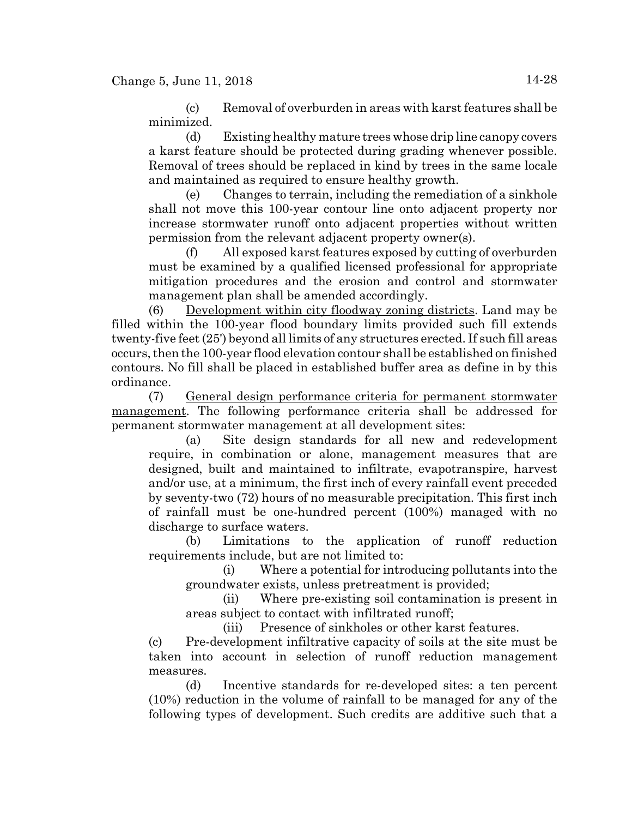(c) Removal of overburden in areas with karst features shall be minimized.

(d) Existing healthy mature trees whose drip line canopy covers a karst feature should be protected during grading whenever possible. Removal of trees should be replaced in kind by trees in the same locale and maintained as required to ensure healthy growth.

(e) Changes to terrain, including the remediation of a sinkhole shall not move this 100-year contour line onto adjacent property nor increase stormwater runoff onto adjacent properties without written permission from the relevant adjacent property owner(s).

(f) All exposed karst features exposed by cutting of overburden must be examined by a qualified licensed professional for appropriate mitigation procedures and the erosion and control and stormwater management plan shall be amended accordingly.

(6) Development within city floodway zoning districts. Land may be filled within the 100-year flood boundary limits provided such fill extends twenty-five feet (25') beyond all limits of any structures erected. If such fill areas occurs, then the 100-year flood elevation contour shall be established on finished contours. No fill shall be placed in established buffer area as define in by this ordinance.

(7) General design performance criteria for permanent stormwater management. The following performance criteria shall be addressed for permanent stormwater management at all development sites:

(a) Site design standards for all new and redevelopment require, in combination or alone, management measures that are designed, built and maintained to infiltrate, evapotranspire, harvest and/or use, at a minimum, the first inch of every rainfall event preceded by seventy-two (72) hours of no measurable precipitation. This first inch of rainfall must be one-hundred percent (100%) managed with no discharge to surface waters.

(b) Limitations to the application of runoff reduction requirements include, but are not limited to:

(i) Where a potential for introducing pollutants into the groundwater exists, unless pretreatment is provided;

(ii) Where pre-existing soil contamination is present in areas subject to contact with infiltrated runoff;

(iii) Presence of sinkholes or other karst features.

(c) Pre-development infiltrative capacity of soils at the site must be taken into account in selection of runoff reduction management measures.

(d) Incentive standards for re-developed sites: a ten percent (10%) reduction in the volume of rainfall to be managed for any of the following types of development. Such credits are additive such that a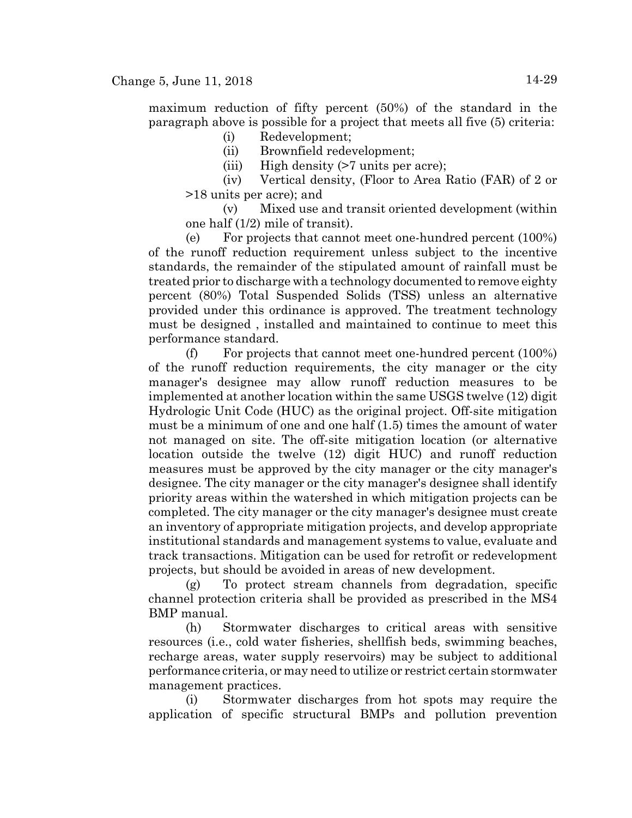maximum reduction of fifty percent (50%) of the standard in the paragraph above is possible for a project that meets all five (5) criteria:

- (i) Redevelopment;
- (ii) Brownfield redevelopment;
- (iii) High density (>7 units per acre);
- (iv) Vertical density, (Floor to Area Ratio (FAR) of 2 or >18 units per acre); and

(v) Mixed use and transit oriented development (within one half (1/2) mile of transit).

(e) For projects that cannot meet one-hundred percent (100%) of the runoff reduction requirement unless subject to the incentive standards, the remainder of the stipulated amount of rainfall must be treated prior to discharge with a technology documented to remove eighty percent (80%) Total Suspended Solids (TSS) unless an alternative provided under this ordinance is approved. The treatment technology must be designed , installed and maintained to continue to meet this performance standard.

(f) For projects that cannot meet one-hundred percent (100%) of the runoff reduction requirements, the city manager or the city manager's designee may allow runoff reduction measures to be implemented at another location within the same USGS twelve (12) digit Hydrologic Unit Code (HUC) as the original project. Off-site mitigation must be a minimum of one and one half (1.5) times the amount of water not managed on site. The off-site mitigation location (or alternative location outside the twelve (12) digit HUC) and runoff reduction measures must be approved by the city manager or the city manager's designee. The city manager or the city manager's designee shall identify priority areas within the watershed in which mitigation projects can be completed. The city manager or the city manager's designee must create an inventory of appropriate mitigation projects, and develop appropriate institutional standards and management systems to value, evaluate and track transactions. Mitigation can be used for retrofit or redevelopment projects, but should be avoided in areas of new development.

(g) To protect stream channels from degradation, specific channel protection criteria shall be provided as prescribed in the MS4 BMP manual.

(h) Stormwater discharges to critical areas with sensitive resources (i.e., cold water fisheries, shellfish beds, swimming beaches, recharge areas, water supply reservoirs) may be subject to additional performance criteria, or may need to utilize or restrict certain stormwater management practices.

(i) Stormwater discharges from hot spots may require the application of specific structural BMPs and pollution prevention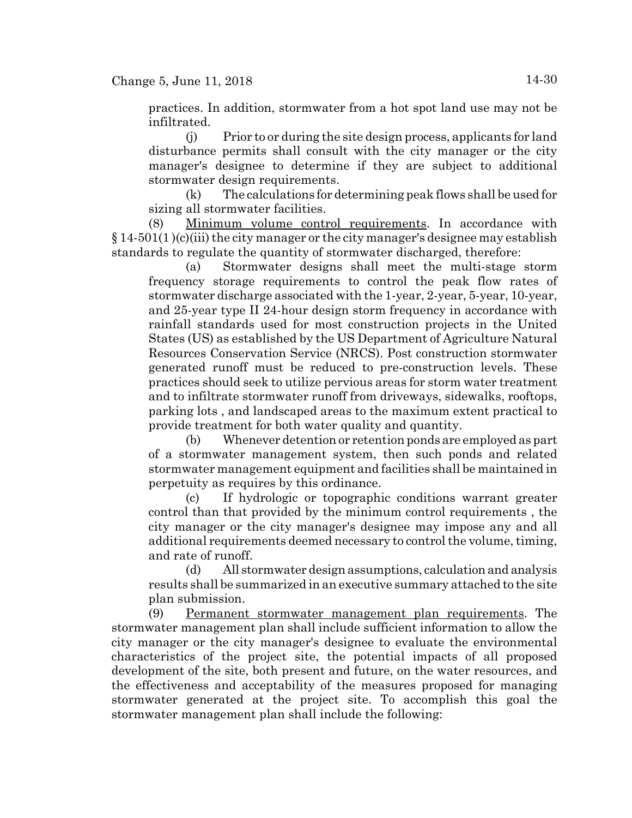practices. In addition, stormwater from a hot spot land use may not be infiltrated.

(j) Prior to or during the site design process, applicants for land disturbance permits shall consult with the city manager or the city manager's designee to determine if they are subject to additional stormwater design requirements.

(k) The calculations for determining peak flows shall be used for sizing all stormwater facilities.

(8) Minimum volume control requirements. In accordance with  $\S 14-501(1)(c)$ (iii) the city manager or the city manager's designee may establish standards to regulate the quantity of stormwater discharged, therefore:

(a) Stormwater designs shall meet the multi-stage storm frequency storage requirements to control the peak flow rates of stormwater discharge associated with the 1-year, 2-year, 5-year, 10-year, and 25-year type II 24-hour design storm frequency in accordance with rainfall standards used for most construction projects in the United States (US) as established by the US Department of Agriculture Natural Resources Conservation Service (NRCS). Post construction stormwater generated runoff must be reduced to pre-construction levels. These practices should seek to utilize pervious areas for storm water treatment and to infiltrate stormwater runoff from driveways, sidewalks, rooftops, parking lots , and landscaped areas to the maximum extent practical to provide treatment for both water quality and quantity.

(b) Whenever detention or retention ponds are employed as part of a stormwater management system, then such ponds and related stormwater management equipment and facilities shall be maintained in perpetuity as requires by this ordinance.

(c) If hydrologic or topographic conditions warrant greater control than that provided by the minimum control requirements , the city manager or the city manager's designee may impose any and all additional requirements deemed necessary to control the volume, timing, and rate of runoff.

(d) All stormwater design assumptions, calculation and analysis results shall be summarized in an executive summary attached to the site plan submission.

(9) Permanent stormwater management plan requirements. The stormwater management plan shall include sufficient information to allow the city manager or the city manager's designee to evaluate the environmental characteristics of the project site, the potential impacts of all proposed development of the site, both present and future, on the water resources, and the effectiveness and acceptability of the measures proposed for managing stormwater generated at the project site. To accomplish this goal the stormwater management plan shall include the following: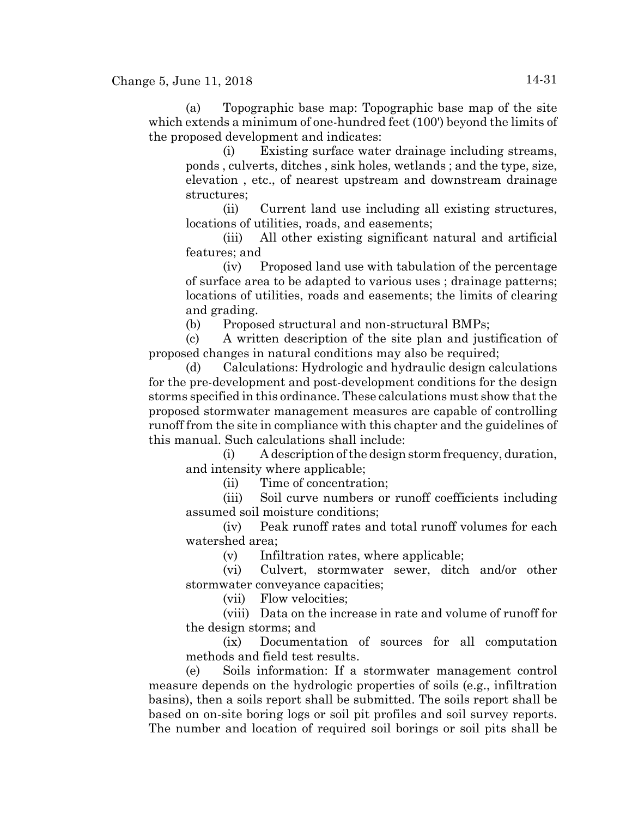(a) Topographic base map: Topographic base map of the site which extends a minimum of one-hundred feet (100') beyond the limits of the proposed development and indicates:

(i) Existing surface water drainage including streams, ponds , culverts, ditches , sink holes, wetlands ; and the type, size, elevation , etc., of nearest upstream and downstream drainage structures;

(ii) Current land use including all existing structures, locations of utilities, roads, and easements;

(iii) All other existing significant natural and artificial features; and

(iv) Proposed land use with tabulation of the percentage of surface area to be adapted to various uses ; drainage patterns; locations of utilities, roads and easements; the limits of clearing and grading.

(b) Proposed structural and non-structural BMPs;

(c) A written description of the site plan and justification of proposed changes in natural conditions may also be required;

(d) Calculations: Hydrologic and hydraulic design calculations for the pre-development and post-development conditions for the design storms specified in this ordinance. These calculations must show that the proposed stormwater management measures are capable of controlling runoff from the site in compliance with this chapter and the guidelines of this manual. Such calculations shall include:

(i) A description of the design storm frequency, duration, and intensity where applicable;

(ii) Time of concentration;

(iii) Soil curve numbers or runoff coefficients including assumed soil moisture conditions;

(iv) Peak runoff rates and total runoff volumes for each watershed area;

(v) Infiltration rates, where applicable;

(vi) Culvert, stormwater sewer, ditch and/or other stormwater conveyance capacities;

(vii) Flow velocities;

(viii) Data on the increase in rate and volume of runoff for the design storms; and

(ix) Documentation of sources for all computation methods and field test results.

(e) Soils information: If a stormwater management control measure depends on the hydrologic properties of soils (e.g., infiltration basins), then a soils report shall be submitted. The soils report shall be based on on-site boring logs or soil pit profiles and soil survey reports. The number and location of required soil borings or soil pits shall be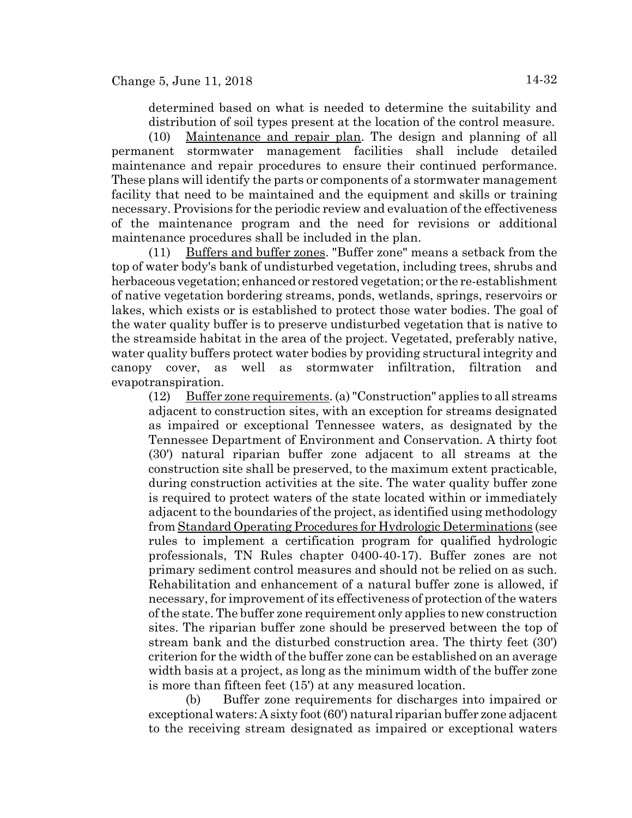determined based on what is needed to determine the suitability and distribution of soil types present at the location of the control measure.

(10) Maintenance and repair plan. The design and planning of all permanent stormwater management facilities shall include detailed maintenance and repair procedures to ensure their continued performance. These plans will identify the parts or components of a stormwater management facility that need to be maintained and the equipment and skills or training necessary. Provisions for the periodic review and evaluation of the effectiveness of the maintenance program and the need for revisions or additional maintenance procedures shall be included in the plan.

(11) Buffers and buffer zones. "Buffer zone" means a setback from the top of water body's bank of undisturbed vegetation, including trees, shrubs and herbaceous vegetation; enhanced or restored vegetation; or the re-establishment of native vegetation bordering streams, ponds, wetlands, springs, reservoirs or lakes, which exists or is established to protect those water bodies. The goal of the water quality buffer is to preserve undisturbed vegetation that is native to the streamside habitat in the area of the project. Vegetated, preferably native, water quality buffers protect water bodies by providing structural integrity and canopy cover, as well as stormwater infiltration, filtration and evapotranspiration.

(12) Buffer zone requirements. (a) "Construction" applies to all streams adjacent to construction sites, with an exception for streams designated as impaired or exceptional Tennessee waters, as designated by the Tennessee Department of Environment and Conservation. A thirty foot (30') natural riparian buffer zone adjacent to all streams at the construction site shall be preserved, to the maximum extent practicable, during construction activities at the site. The water quality buffer zone is required to protect waters of the state located within or immediately adjacent to the boundaries of the project, as identified using methodology from Standard Operating Procedures for Hydrologic Determinations (see rules to implement a certification program for qualified hydrologic professionals, TN Rules chapter 0400-40-17). Buffer zones are not primary sediment control measures and should not be relied on as such. Rehabilitation and enhancement of a natural buffer zone is allowed, if necessary, for improvement of its effectiveness of protection of the waters of the state. The buffer zone requirement only applies to new construction sites. The riparian buffer zone should be preserved between the top of stream bank and the disturbed construction area. The thirty feet (30') criterion for the width of the buffer zone can be established on an average width basis at a project, as long as the minimum width of the buffer zone is more than fifteen feet (15') at any measured location.

(b) Buffer zone requirements for discharges into impaired or exceptional waters: A sixty foot (60') natural riparian buffer zone adjacent to the receiving stream designated as impaired or exceptional waters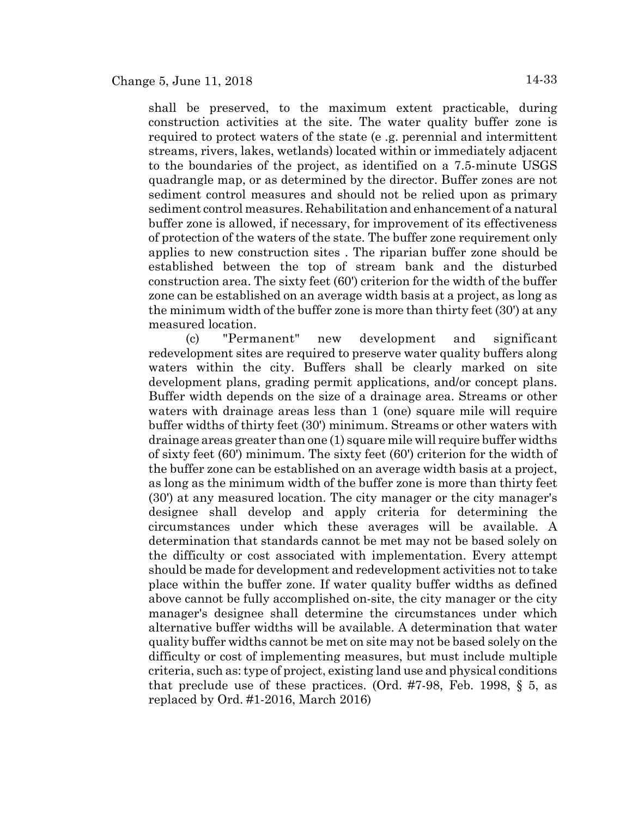shall be preserved, to the maximum extent practicable, during construction activities at the site. The water quality buffer zone is required to protect waters of the state (e .g. perennial and intermittent streams, rivers, lakes, wetlands) located within or immediately adjacent to the boundaries of the project, as identified on a 7.5-minute USGS quadrangle map, or as determined by the director. Buffer zones are not sediment control measures and should not be relied upon as primary sediment control measures. Rehabilitation and enhancement of a natural buffer zone is allowed, if necessary, for improvement of its effectiveness of protection of the waters of the state. The buffer zone requirement only applies to new construction sites . The riparian buffer zone should be established between the top of stream bank and the disturbed construction area. The sixty feet (60') criterion for the width of the buffer zone can be established on an average width basis at a project, as long as the minimum width of the buffer zone is more than thirty feet (30') at any measured location.

(c) "Permanent" new development and significant redevelopment sites are required to preserve water quality buffers along waters within the city. Buffers shall be clearly marked on site development plans, grading permit applications, and/or concept plans. Buffer width depends on the size of a drainage area. Streams or other waters with drainage areas less than 1 (one) square mile will require buffer widths of thirty feet (30') minimum. Streams or other waters with drainage areas greater than one (1) square mile will require buffer widths of sixty feet (60') minimum. The sixty feet (60') criterion for the width of the buffer zone can be established on an average width basis at a project, as long as the minimum width of the buffer zone is more than thirty feet (30') at any measured location. The city manager or the city manager's designee shall develop and apply criteria for determining the circumstances under which these averages will be available. A determination that standards cannot be met may not be based solely on the difficulty or cost associated with implementation. Every attempt should be made for development and redevelopment activities not to take place within the buffer zone. If water quality buffer widths as defined above cannot be fully accomplished on-site, the city manager or the city manager's designee shall determine the circumstances under which alternative buffer widths will be available. A determination that water quality buffer widths cannot be met on site may not be based solely on the difficulty or cost of implementing measures, but must include multiple criteria, such as: type of project, existing land use and physical conditions that preclude use of these practices. (Ord. #7-98, Feb. 1998, § 5, as replaced by Ord. #1-2016, March 2016)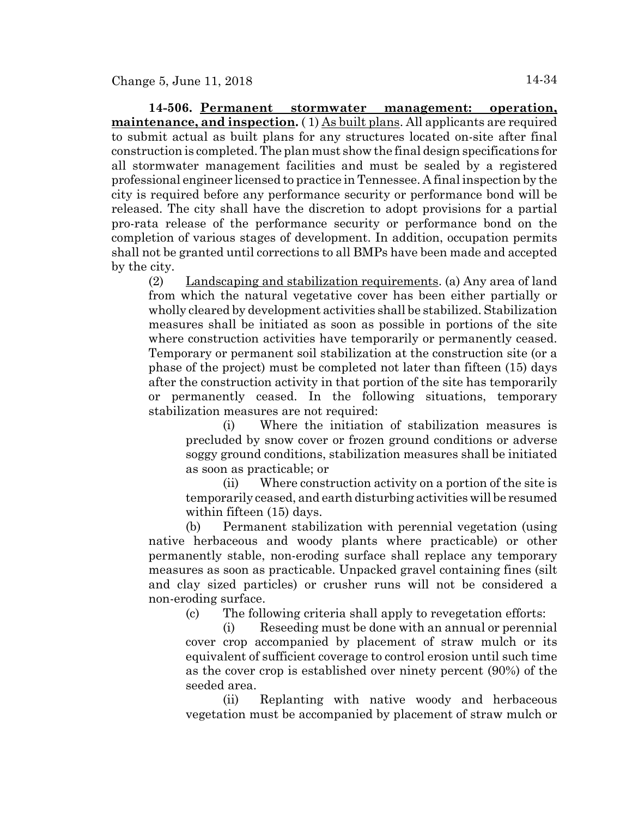**14-506. Permanent stormwater management: operation, maintenance, and inspection.** ( 1) As built plans. All applicants are required to submit actual as built plans for any structures located on-site after final construction is completed. The plan must show the final design specifications for all stormwater management facilities and must be sealed by a registered professional engineer licensed to practice in Tennessee. A final inspection by the city is required before any performance security or performance bond will be released. The city shall have the discretion to adopt provisions for a partial pro-rata release of the performance security or performance bond on the completion of various stages of development. In addition, occupation permits shall not be granted until corrections to all BMPs have been made and accepted by the city.

(2) Landscaping and stabilization requirements. (a) Any area of land from which the natural vegetative cover has been either partially or wholly cleared by development activities shall be stabilized. Stabilization measures shall be initiated as soon as possible in portions of the site where construction activities have temporarily or permanently ceased. Temporary or permanent soil stabilization at the construction site (or a phase of the project) must be completed not later than fifteen (15) days after the construction activity in that portion of the site has temporarily or permanently ceased. In the following situations, temporary stabilization measures are not required:

(i) Where the initiation of stabilization measures is precluded by snow cover or frozen ground conditions or adverse soggy ground conditions, stabilization measures shall be initiated as soon as practicable; or

(ii) Where construction activity on a portion of the site is temporarily ceased, and earth disturbing activities will be resumed within fifteen (15) days.

(b) Permanent stabilization with perennial vegetation (using native herbaceous and woody plants where practicable) or other permanently stable, non-eroding surface shall replace any temporary measures as soon as practicable. Unpacked gravel containing fines (silt and clay sized particles) or crusher runs will not be considered a non-eroding surface.

(c) The following criteria shall apply to revegetation efforts:

(i) Reseeding must be done with an annual or perennial cover crop accompanied by placement of straw mulch or its equivalent of sufficient coverage to control erosion until such time as the cover crop is established over ninety percent (90%) of the seeded area.

(ii) Replanting with native woody and herbaceous vegetation must be accompanied by placement of straw mulch or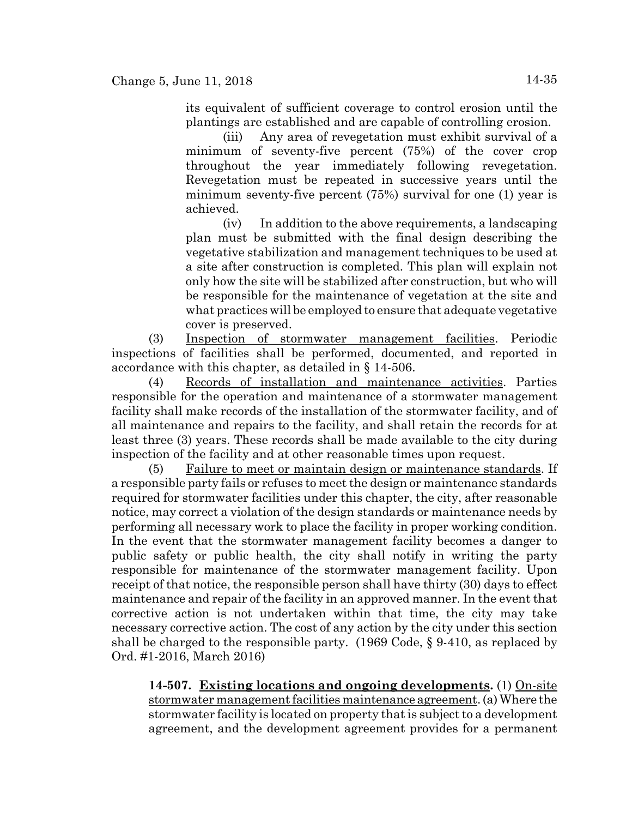(iii) Any area of revegetation must exhibit survival of a minimum of seventy-five percent (75%) of the cover crop throughout the year immediately following revegetation. Revegetation must be repeated in successive years until the minimum seventy-five percent (75%) survival for one (1) year is achieved.

(iv) In addition to the above requirements, a landscaping plan must be submitted with the final design describing the vegetative stabilization and management techniques to be used at a site after construction is completed. This plan will explain not only how the site will be stabilized after construction, but who will be responsible for the maintenance of vegetation at the site and what practices will be employed to ensure that adequate vegetative cover is preserved.

(3) Inspection of stormwater management facilities. Periodic inspections of facilities shall be performed, documented, and reported in accordance with this chapter, as detailed in § 14-506.

(4) Records of installation and maintenance activities. Parties responsible for the operation and maintenance of a stormwater management facility shall make records of the installation of the stormwater facility, and of all maintenance and repairs to the facility, and shall retain the records for at least three (3) years. These records shall be made available to the city during inspection of the facility and at other reasonable times upon request.

(5) Failure to meet or maintain design or maintenance standards. If a responsible party fails or refuses to meet the design or maintenance standards required for stormwater facilities under this chapter, the city, after reasonable notice, may correct a violation of the design standards or maintenance needs by performing all necessary work to place the facility in proper working condition. In the event that the stormwater management facility becomes a danger to public safety or public health, the city shall notify in writing the party responsible for maintenance of the stormwater management facility. Upon receipt of that notice, the responsible person shall have thirty (30) days to effect maintenance and repair of the facility in an approved manner. In the event that corrective action is not undertaken within that time, the city may take necessary corrective action. The cost of any action by the city under this section shall be charged to the responsible party. (1969 Code, § 9-410, as replaced by Ord. #1-2016, March 2016)

**14-507. Existing locations and ongoing developments.** (1) On-site stormwater management facilities maintenance agreement. (a) Where the stormwater facility is located on property that is subject to a development agreement, and the development agreement provides for a permanent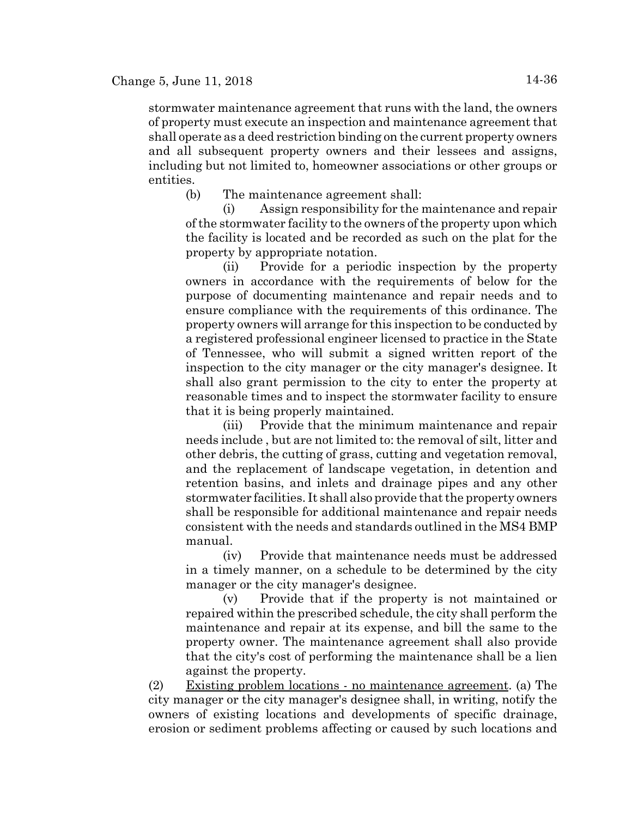stormwater maintenance agreement that runs with the land, the owners of property must execute an inspection and maintenance agreement that shall operate as a deed restriction binding on the current property owners and all subsequent property owners and their lessees and assigns, including but not limited to, homeowner associations or other groups or entities.

(b) The maintenance agreement shall:

(i) Assign responsibility for the maintenance and repair of the stormwater facility to the owners of the property upon which the facility is located and be recorded as such on the plat for the property by appropriate notation.

(ii) Provide for a periodic inspection by the property owners in accordance with the requirements of below for the purpose of documenting maintenance and repair needs and to ensure compliance with the requirements of this ordinance. The property owners will arrange for this inspection to be conducted by a registered professional engineer licensed to practice in the State of Tennessee, who will submit a signed written report of the inspection to the city manager or the city manager's designee. It shall also grant permission to the city to enter the property at reasonable times and to inspect the stormwater facility to ensure that it is being properly maintained.

(iii) Provide that the minimum maintenance and repair needs include , but are not limited to: the removal of silt, litter and other debris, the cutting of grass, cutting and vegetation removal, and the replacement of landscape vegetation, in detention and retention basins, and inlets and drainage pipes and any other stormwater facilities. It shall also provide that the property owners shall be responsible for additional maintenance and repair needs consistent with the needs and standards outlined in the MS4 BMP manual.

(iv) Provide that maintenance needs must be addressed in a timely manner, on a schedule to be determined by the city manager or the city manager's designee.

(v) Provide that if the property is not maintained or repaired within the prescribed schedule, the city shall perform the maintenance and repair at its expense, and bill the same to the property owner. The maintenance agreement shall also provide that the city's cost of performing the maintenance shall be a lien against the property.

(2) Existing problem locations - no maintenance agreement. (a) The city manager or the city manager's designee shall, in writing, notify the owners of existing locations and developments of specific drainage, erosion or sediment problems affecting or caused by such locations and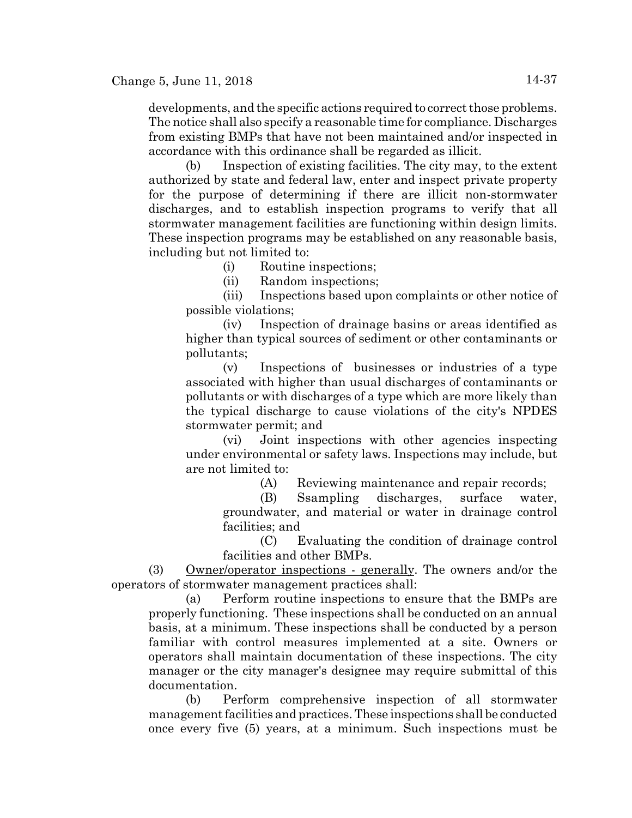developments, and the specific actions required to correct those problems. The notice shall also specify a reasonable time for compliance. Discharges from existing BMPs that have not been maintained and/or inspected in accordance with this ordinance shall be regarded as illicit.

(b) Inspection of existing facilities. The city may, to the extent authorized by state and federal law, enter and inspect private property for the purpose of determining if there are illicit non-stormwater discharges, and to establish inspection programs to verify that all stormwater management facilities are functioning within design limits. These inspection programs may be established on any reasonable basis, including but not limited to:

(i) Routine inspections;

(ii) Random inspections;

(iii) Inspections based upon complaints or other notice of possible violations;

(iv) Inspection of drainage basins or areas identified as higher than typical sources of sediment or other contaminants or pollutants;

(v) Inspections of businesses or industries of a type associated with higher than usual discharges of contaminants or pollutants or with discharges of a type which are more likely than the typical discharge to cause violations of the city's NPDES stormwater permit; and

(vi) Joint inspections with other agencies inspecting under environmental or safety laws. Inspections may include, but are not limited to:

(A) Reviewing maintenance and repair records;

(B) Ssampling discharges, surface water, groundwater, and material or water in drainage control facilities; and

(C) Evaluating the condition of drainage control facilities and other BMPs.

(3) Owner/operator inspections - generally. The owners and/or the operators of stormwater management practices shall:

(a) Perform routine inspections to ensure that the BMPs are properly functioning. These inspections shall be conducted on an annual basis, at a minimum. These inspections shall be conducted by a person familiar with control measures implemented at a site. Owners or operators shall maintain documentation of these inspections. The city manager or the city manager's designee may require submittal of this documentation.

(b) Perform comprehensive inspection of all stormwater management facilities and practices. These inspections shall be conducted once every five (5) years, at a minimum. Such inspections must be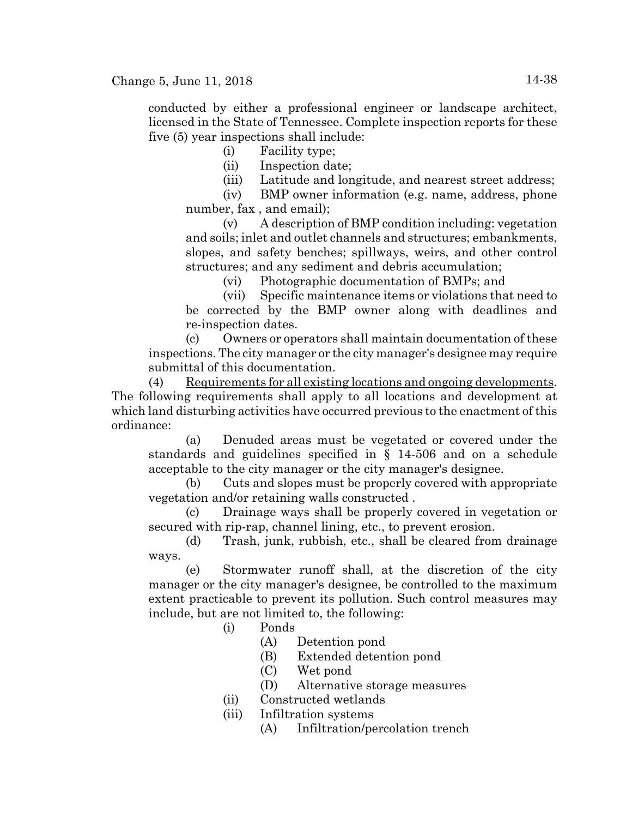conducted by either a professional engineer or landscape architect, licensed in the State of Tennessee. Complete inspection reports for these five (5) year inspections shall include:

(i) Facility type;

(ii) Inspection date;

(iii) Latitude and longitude, and nearest street address;

(iv) BMP owner information (e.g. name, address, phone number, fax , and email);

(v) A description of BMP condition including: vegetation and soils; inlet and outlet channels and structures; embankments, slopes, and safety benches; spillways, weirs, and other control structures; and any sediment and debris accumulation;

(vi) Photographic documentation of BMPs; and

(vii) Specific maintenance items or violations that need to be corrected by the BMP owner along with deadlines and re-inspection dates.

(c) Owners or operators shall maintain documentation of these inspections. The city manager or the city manager's designee may require submittal of this documentation.

(4) Requirements for all existing locations and ongoing developments. The following requirements shall apply to all locations and development at which land disturbing activities have occurred previous to the enactment of this ordinance:

(a) Denuded areas must be vegetated or covered under the standards and guidelines specified in § 14-506 and on a schedule acceptable to the city manager or the city manager's designee.

(b) Cuts and slopes must be properly covered with appropriate vegetation and/or retaining walls constructed .

(c) Drainage ways shall be properly covered in vegetation or secured with rip-rap, channel lining, etc., to prevent erosion.

(d) Trash, junk, rubbish, etc., shall be cleared from drainage ways.

(e) Stormwater runoff shall, at the discretion of the city manager or the city manager's designee, be controlled to the maximum extent practicable to prevent its pollution. Such control measures may include, but are not limited to, the following:

(i) Ponds

- (A) Detention pond
- (B) Extended detention pond
- (C) Wet pond
- (D) Alternative storage measures
- (ii) Constructed wetlands
- (iii) Infiltration systems
	- (A) Infiltration/percolation trench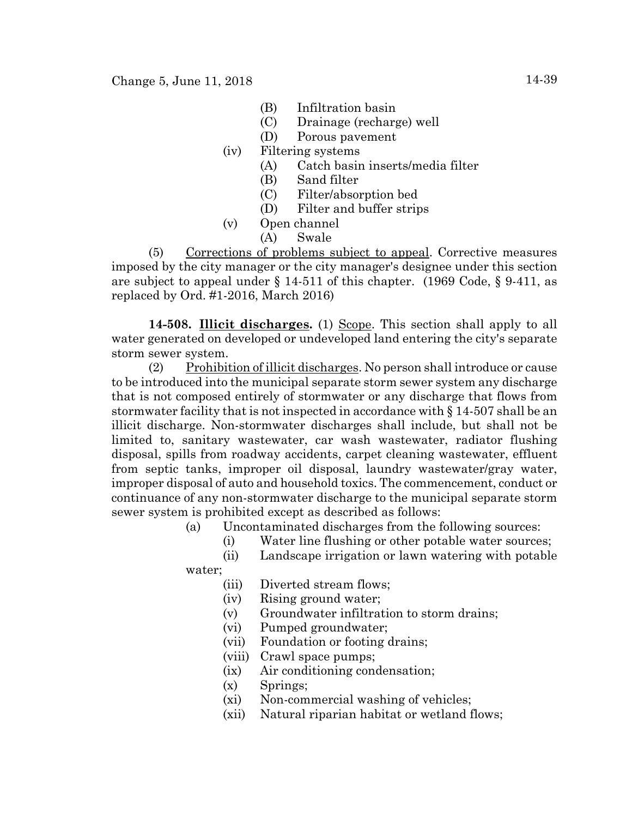- (B) Infiltration basin
- (C) Drainage (recharge) well
- (D) Porous pavement
- (iv) Filtering systems
	- (A) Catch basin inserts/media filter
	- (B) Sand filter
	- (C) Filter/absorption bed
	- (D) Filter and buffer strips
- (v) Open channel
	- (A) Swale

(5) Corrections of problems subject to appeal. Corrective measures imposed by the city manager or the city manager's designee under this section are subject to appeal under  $\S$  14-511 of this chapter. (1969 Code,  $\S$  9-411, as replaced by Ord. #1-2016, March 2016)

**14-508. Illicit discharges.** (1) Scope. This section shall apply to all water generated on developed or undeveloped land entering the city's separate storm sewer system.

(2) Prohibition of illicit discharges. No person shall introduce or cause to be introduced into the municipal separate storm sewer system any discharge that is not composed entirely of stormwater or any discharge that flows from stormwater facility that is not inspected in accordance with § 14-507 shall be an illicit discharge. Non-stormwater discharges shall include, but shall not be limited to, sanitary wastewater, car wash wastewater, radiator flushing disposal, spills from roadway accidents, carpet cleaning wastewater, effluent from septic tanks, improper oil disposal, laundry wastewater/gray water, improper disposal of auto and household toxics. The commencement, conduct or continuance of any non-stormwater discharge to the municipal separate storm sewer system is prohibited except as described as follows:

- (a) Uncontaminated discharges from the following sources:
	- (i) Water line flushing or other potable water sources;
	- (ii) Landscape irrigation or lawn watering with potable
- water;
	- (iii) Diverted stream flows;
	- (iv) Rising ground water;
	- (v) Groundwater infiltration to storm drains;
	- (vi) Pumped groundwater;
	- (vii) Foundation or footing drains;
	- (viii) Crawl space pumps;
	- (ix) Air conditioning condensation;
	- (x) Springs;
	- (xi) Non-commercial washing of vehicles;
	- (xii) Natural riparian habitat or wetland flows;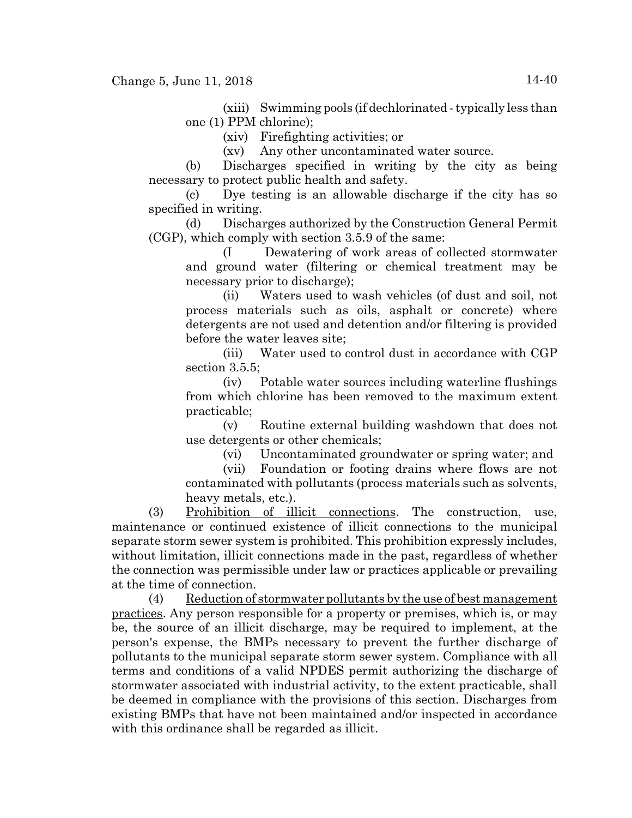(xiii) Swimming pools (if dechlorinated - typically less than one (1) PPM chlorine);

(xiv) Firefighting activities; or

(xv) Any other uncontaminated water source.

(b) Discharges specified in writing by the city as being necessary to protect public health and safety.

(c) Dye testing is an allowable discharge if the city has so specified in writing.

(d) Discharges authorized by the Construction General Permit (CGP), which comply with section 3.5.9 of the same:

(I Dewatering of work areas of collected stormwater and ground water (filtering or chemical treatment may be necessary prior to discharge);

(ii) Waters used to wash vehicles (of dust and soil, not process materials such as oils, asphalt or concrete) where detergents are not used and detention and/or filtering is provided before the water leaves site;

(iii) Water used to control dust in accordance with CGP section 3.5.5;

(iv) Potable water sources including waterline flushings from which chlorine has been removed to the maximum extent practicable;

(v) Routine external building washdown that does not use detergents or other chemicals;

(vi) Uncontaminated groundwater or spring water; and

(vii) Foundation or footing drains where flows are not contaminated with pollutants (process materials such as solvents, heavy metals, etc.).

(3) Prohibition of illicit connections. The construction, use, maintenance or continued existence of illicit connections to the municipal separate storm sewer system is prohibited. This prohibition expressly includes, without limitation, illicit connections made in the past, regardless of whether the connection was permissible under law or practices applicable or prevailing at the time of connection.

(4) Reduction of stormwater pollutants by the use of best management practices. Any person responsible for a property or premises, which is, or may be, the source of an illicit discharge, may be required to implement, at the person's expense, the BMPs necessary to prevent the further discharge of pollutants to the municipal separate storm sewer system. Compliance with all terms and conditions of a valid NPDES permit authorizing the discharge of stormwater associated with industrial activity, to the extent practicable, shall be deemed in compliance with the provisions of this section. Discharges from existing BMPs that have not been maintained and/or inspected in accordance with this ordinance shall be regarded as illicit.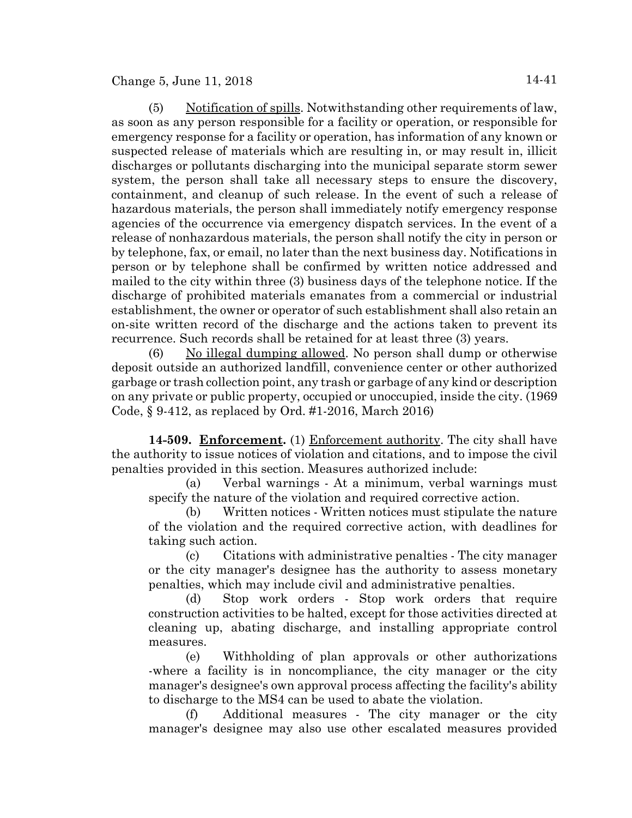Change 5, June 11, 2018  $14-41$ 

(5) Notification of spills. Notwithstanding other requirements of law, as soon as any person responsible for a facility or operation, or responsible for emergency response for a facility or operation, has information of any known or suspected release of materials which are resulting in, or may result in, illicit discharges or pollutants discharging into the municipal separate storm sewer system, the person shall take all necessary steps to ensure the discovery, containment, and cleanup of such release. In the event of such a release of hazardous materials, the person shall immediately notify emergency response agencies of the occurrence via emergency dispatch services. In the event of a release of nonhazardous materials, the person shall notify the city in person or by telephone, fax, or email, no later than the next business day. Notifications in person or by telephone shall be confirmed by written notice addressed and mailed to the city within three (3) business days of the telephone notice. If the discharge of prohibited materials emanates from a commercial or industrial establishment, the owner or operator of such establishment shall also retain an on-site written record of the discharge and the actions taken to prevent its recurrence. Such records shall be retained for at least three (3) years.

(6) No illegal dumping allowed. No person shall dump or otherwise deposit outside an authorized landfill, convenience center or other authorized garbage or trash collection point, any trash or garbage of any kind or description on any private or public property, occupied or unoccupied, inside the city. (1969 Code, § 9-412, as replaced by Ord. #1-2016, March 2016)

14-509. **Enforcement.** (1) Enforcement authority. The city shall have the authority to issue notices of violation and citations, and to impose the civil penalties provided in this section. Measures authorized include:

(a) Verbal warnings - At a minimum, verbal warnings must specify the nature of the violation and required corrective action.

(b) Written notices - Written notices must stipulate the nature of the violation and the required corrective action, with deadlines for taking such action.

(c) Citations with administrative penalties - The city manager or the city manager's designee has the authority to assess monetary penalties, which may include civil and administrative penalties.

(d) Stop work orders - Stop work orders that require construction activities to be halted, except for those activities directed at cleaning up, abating discharge, and installing appropriate control measures.

(e) Withholding of plan approvals or other authorizations -where a facility is in noncompliance, the city manager or the city manager's designee's own approval process affecting the facility's ability to discharge to the MS4 can be used to abate the violation.

(f) Additional measures - The city manager or the city manager's designee may also use other escalated measures provided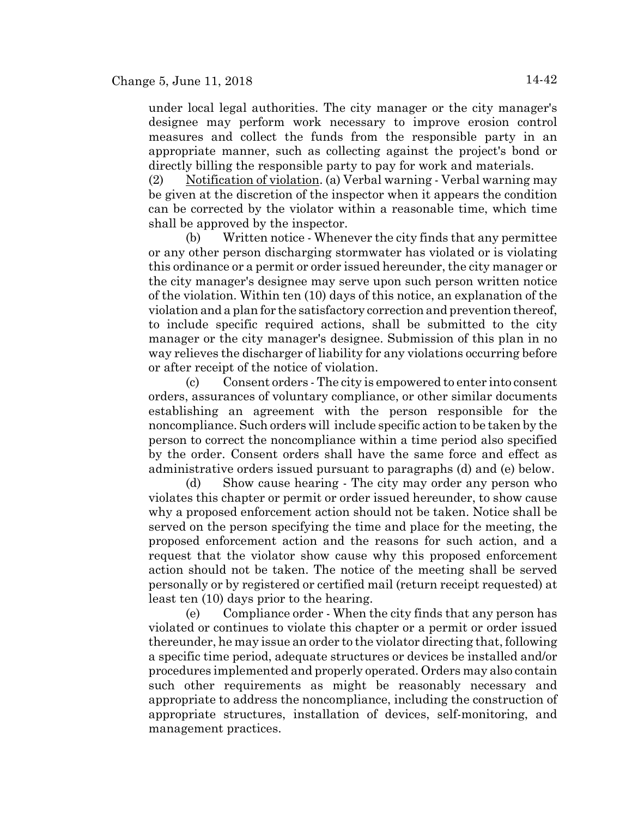under local legal authorities. The city manager or the city manager's designee may perform work necessary to improve erosion control measures and collect the funds from the responsible party in an appropriate manner, such as collecting against the project's bond or directly billing the responsible party to pay for work and materials.

(2) Notification of violation. (a) Verbal warning - Verbal warning may be given at the discretion of the inspector when it appears the condition can be corrected by the violator within a reasonable time, which time shall be approved by the inspector.

(b) Written notice - Whenever the city finds that any permittee or any other person discharging stormwater has violated or is violating this ordinance or a permit or order issued hereunder, the city manager or the city manager's designee may serve upon such person written notice of the violation. Within ten (10) days of this notice, an explanation of the violation and a plan for the satisfactory correction and prevention thereof, to include specific required actions, shall be submitted to the city manager or the city manager's designee. Submission of this plan in no way relieves the discharger of liability for any violations occurring before or after receipt of the notice of violation.

(c) Consent orders - The city is empowered to enter into consent orders, assurances of voluntary compliance, or other similar documents establishing an agreement with the person responsible for the noncompliance. Such orders will include specific action to be taken by the person to correct the noncompliance within a time period also specified by the order. Consent orders shall have the same force and effect as administrative orders issued pursuant to paragraphs (d) and (e) below.

(d) Show cause hearing - The city may order any person who violates this chapter or permit or order issued hereunder, to show cause why a proposed enforcement action should not be taken. Notice shall be served on the person specifying the time and place for the meeting, the proposed enforcement action and the reasons for such action, and a request that the violator show cause why this proposed enforcement action should not be taken. The notice of the meeting shall be served personally or by registered or certified mail (return receipt requested) at least ten (10) days prior to the hearing.

(e) Compliance order - When the city finds that any person has violated or continues to violate this chapter or a permit or order issued thereunder, he may issue an order to the violator directing that, following a specific time period, adequate structures or devices be installed and/or procedures implemented and properly operated. Orders may also contain such other requirements as might be reasonably necessary and appropriate to address the noncompliance, including the construction of appropriate structures, installation of devices, self-monitoring, and management practices.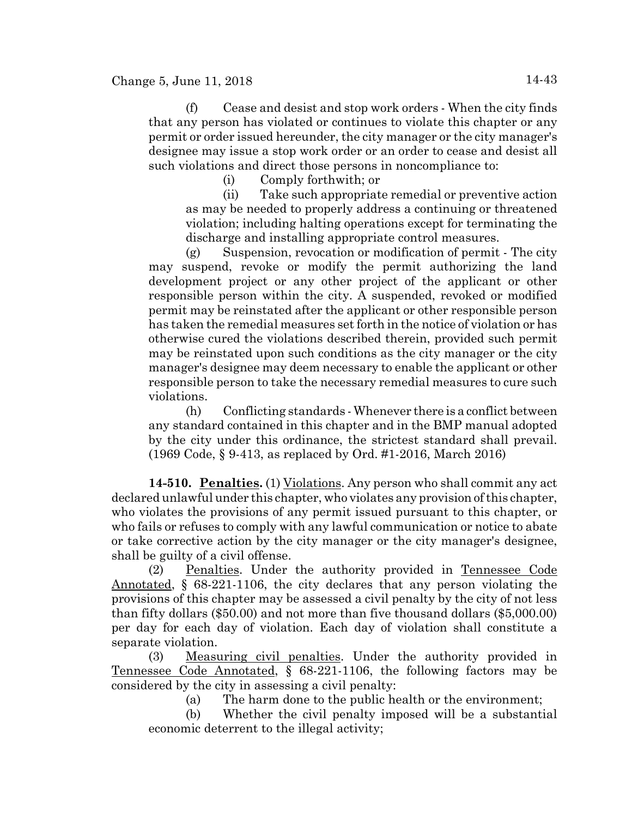(f) Cease and desist and stop work orders - When the city finds that any person has violated or continues to violate this chapter or any permit or order issued hereunder, the city manager or the city manager's designee may issue a stop work order or an order to cease and desist all such violations and direct those persons in noncompliance to:

(i) Comply forthwith; or

(ii) Take such appropriate remedial or preventive action as may be needed to properly address a continuing or threatened violation; including halting operations except for terminating the discharge and installing appropriate control measures.

(g) Suspension, revocation or modification of permit - The city may suspend, revoke or modify the permit authorizing the land development project or any other project of the applicant or other responsible person within the city. A suspended, revoked or modified permit may be reinstated after the applicant or other responsible person has taken the remedial measures set forth in the notice of violation or has otherwise cured the violations described therein, provided such permit may be reinstated upon such conditions as the city manager or the city manager's designee may deem necessary to enable the applicant or other responsible person to take the necessary remedial measures to cure such violations.

(h) Conflicting standards - Whenever there is a conflict between any standard contained in this chapter and in the BMP manual adopted by the city under this ordinance, the strictest standard shall prevail. (1969 Code, § 9-413, as replaced by Ord. #1-2016, March 2016)

**14-510. Penalties.** (1) Violations. Any person who shall commit any act declared unlawful under this chapter, who violates any provision of this chapter, who violates the provisions of any permit issued pursuant to this chapter, or who fails or refuses to comply with any lawful communication or notice to abate or take corrective action by the city manager or the city manager's designee, shall be guilty of a civil offense.

(2) Penalties. Under the authority provided in Tennessee Code Annotated, § 68-221-1106, the city declares that any person violating the provisions of this chapter may be assessed a civil penalty by the city of not less than fifty dollars (\$50.00) and not more than five thousand dollars (\$5,000.00) per day for each day of violation. Each day of violation shall constitute a separate violation.

(3) Measuring civil penalties. Under the authority provided in Tennessee Code Annotated, § 68-221-1106, the following factors may be considered by the city in assessing a civil penalty:

(a) The harm done to the public health or the environment;

(b) Whether the civil penalty imposed will be a substantial economic deterrent to the illegal activity;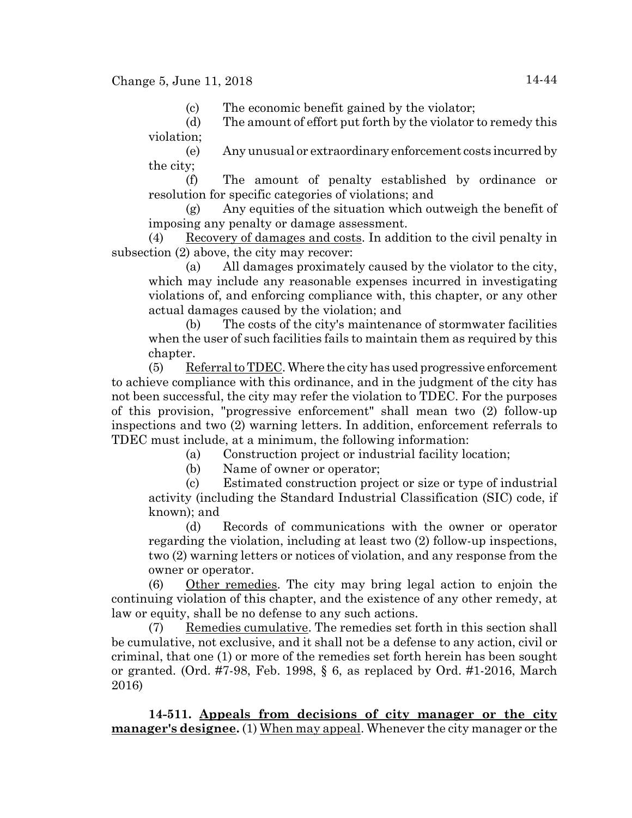(c) The economic benefit gained by the violator;

(d) The amount of effort put forth by the violator to remedy this violation;

(e) Any unusual or extraordinary enforcement costs incurred by the city;

(f) The amount of penalty established by ordinance or resolution for specific categories of violations; and

(g) Any equities of the situation which outweigh the benefit of imposing any penalty or damage assessment.

(4) Recovery of damages and costs. In addition to the civil penalty in subsection (2) above, the city may recover:

(a) All damages proximately caused by the violator to the city, which may include any reasonable expenses incurred in investigating violations of, and enforcing compliance with, this chapter, or any other actual damages caused by the violation; and

(b) The costs of the city's maintenance of stormwater facilities when the user of such facilities fails to maintain them as required by this chapter.

(5) Referral to TDEC. Where the city has used progressive enforcement to achieve compliance with this ordinance, and in the judgment of the city has not been successful, the city may refer the violation to TDEC. For the purposes of this provision, "progressive enforcement" shall mean two (2) follow-up inspections and two (2) warning letters. In addition, enforcement referrals to TDEC must include, at a minimum, the following information:

(a) Construction project or industrial facility location;

(b) Name of owner or operator;

(c) Estimated construction project or size or type of industrial activity (including the Standard Industrial Classification (SIC) code, if known); and

(d) Records of communications with the owner or operator regarding the violation, including at least two (2) follow-up inspections, two (2) warning letters or notices of violation, and any response from the owner or operator.

(6) Other remedies. The city may bring legal action to enjoin the continuing violation of this chapter, and the existence of any other remedy, at law or equity, shall be no defense to any such actions.

(7) Remedies cumulative. The remedies set forth in this section shall be cumulative, not exclusive, and it shall not be a defense to any action, civil or criminal, that one (1) or more of the remedies set forth herein has been sought or granted. (Ord.  $\#7-98$ , Feb. 1998, § 6, as replaced by Ord.  $\#1-2016$ , March 2016)

**14-511. Appeals from decisions of city manager or the city manager's designee.** (1) When may appeal. Whenever the city manager or the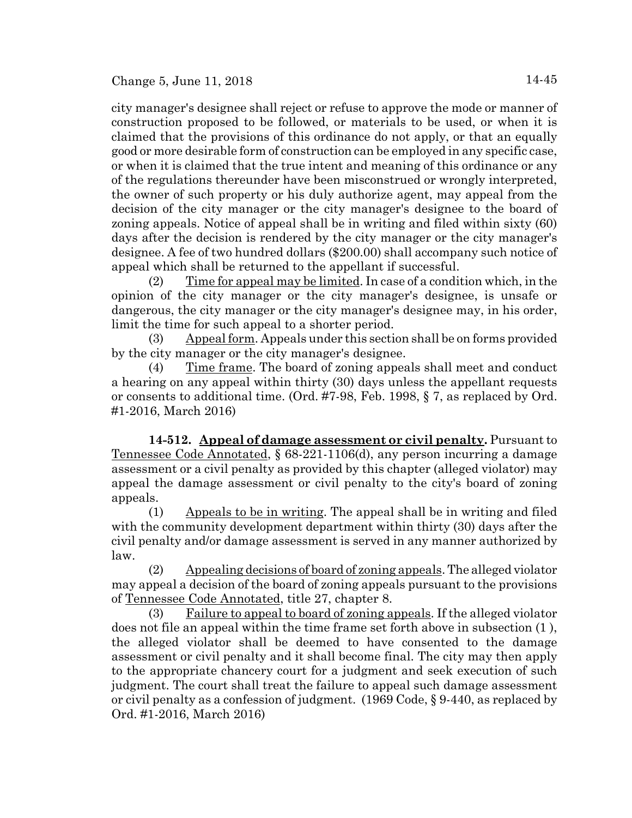city manager's designee shall reject or refuse to approve the mode or manner of construction proposed to be followed, or materials to be used, or when it is claimed that the provisions of this ordinance do not apply, or that an equally good or more desirable form of construction can be employed in any specific case, or when it is claimed that the true intent and meaning of this ordinance or any of the regulations thereunder have been misconstrued or wrongly interpreted, the owner of such property or his duly authorize agent, may appeal from the decision of the city manager or the city manager's designee to the board of zoning appeals. Notice of appeal shall be in writing and filed within sixty (60) days after the decision is rendered by the city manager or the city manager's designee. A fee of two hundred dollars (\$200.00) shall accompany such notice of appeal which shall be returned to the appellant if successful.

(2) Time for appeal may be limited. In case of a condition which, in the opinion of the city manager or the city manager's designee, is unsafe or dangerous, the city manager or the city manager's designee may, in his order, limit the time for such appeal to a shorter period.

 $(3)$  Appeal form. Appeals under this section shall be on forms provided by the city manager or the city manager's designee.

(4) Time frame. The board of zoning appeals shall meet and conduct a hearing on any appeal within thirty (30) days unless the appellant requests or consents to additional time. (Ord. #7-98, Feb. 1998, § 7, as replaced by Ord. #1-2016, March 2016)

**14-512. Appeal of damage assessment or civil penalty.** Pursuant to Tennessee Code Annotated, § 68-221-1106(d), any person incurring a damage assessment or a civil penalty as provided by this chapter (alleged violator) may appeal the damage assessment or civil penalty to the city's board of zoning appeals.

(1) Appeals to be in writing. The appeal shall be in writing and filed with the community development department within thirty (30) days after the civil penalty and/or damage assessment is served in any manner authorized by law.

(2) Appealing decisions of board of zoning appeals. The alleged violator may appeal a decision of the board of zoning appeals pursuant to the provisions of Tennessee Code Annotated, title 27, chapter 8.

(3) Failure to appeal to board of zoning appeals. If the alleged violator does not file an appeal within the time frame set forth above in subsection (1 ), the alleged violator shall be deemed to have consented to the damage assessment or civil penalty and it shall become final. The city may then apply to the appropriate chancery court for a judgment and seek execution of such judgment. The court shall treat the failure to appeal such damage assessment or civil penalty as a confession of judgment. (1969 Code, § 9-440, as replaced by Ord. #1-2016, March 2016)